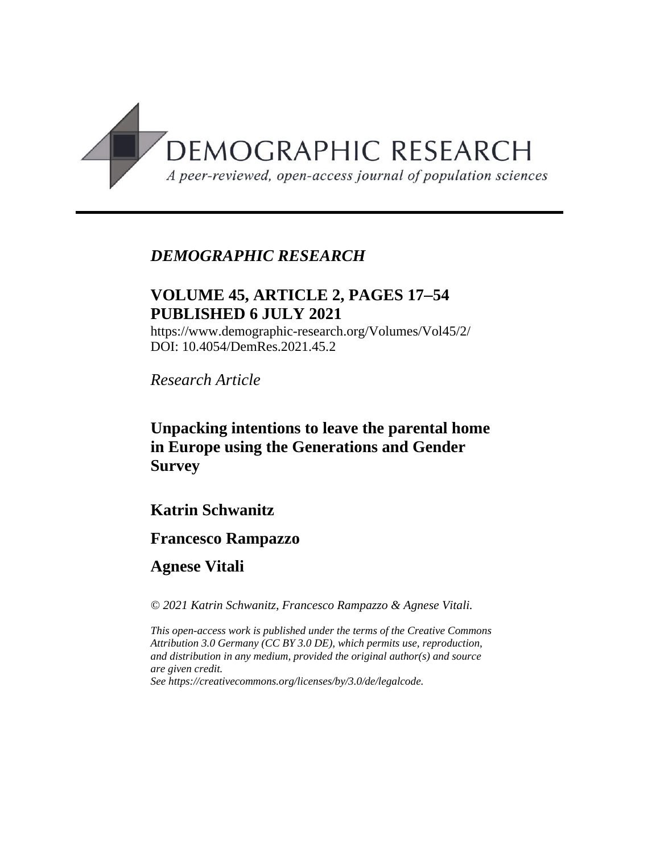

# *DEMOGRAPHIC RESEARCH*

# **VOLUME 45, ARTICLE 2, PAGES 1754 PUBLISHED 6 JULY 2021**

https://www.demographic-research.org/Volumes/Vol45/2/ DOI: 10.4054/DemRes.2021.45.2

*Research Article*

**Unpacking intentions to leave the parental home in Europe using the Generations and Gender Survey**

## **Katrin Schwanitz**

## **Francesco Rampazzo**

**Agnese Vitali**

*© 2021 Katrin Schwanitz, Francesco Rampazzo & Agnese Vitali.*

*This open-access work is published under the terms of the Creative Commons Attribution 3.0 Germany (CC BY 3.0 DE), which permits use, reproduction, and distribution in any medium, provided the original author(s) and source are given credit.*

*See [https://creativecommons.org/licenses/by/3.0/de/legalcode.](https://creativecommons.org/licenses/by/3.0/de/legalcode)*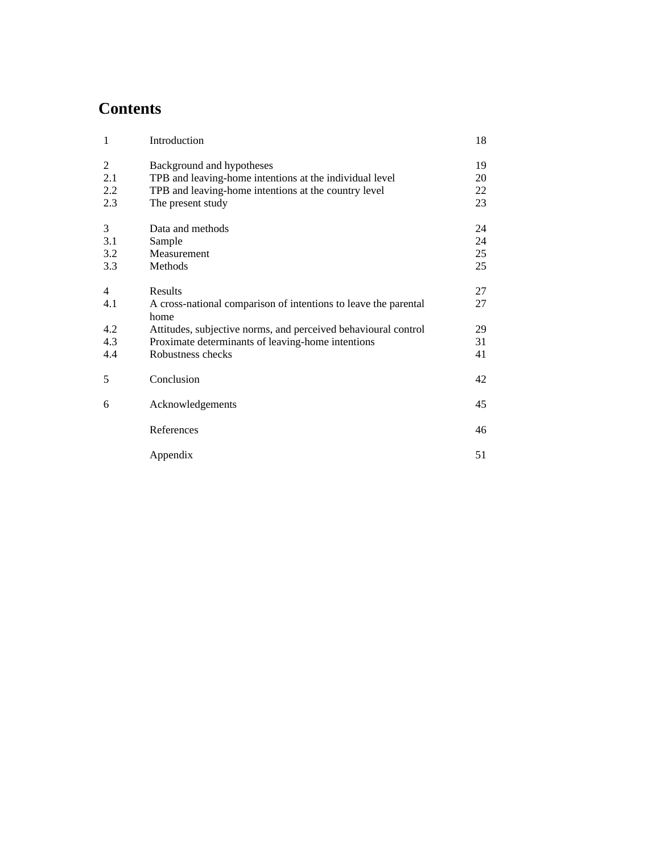# **Contents**

| $\mathbf{1}$   | Introduction                                                            | 18 |
|----------------|-------------------------------------------------------------------------|----|
| 2              | Background and hypotheses                                               | 19 |
| 2.1            | TPB and leaving-home intentions at the individual level                 | 20 |
| 2.2            | TPB and leaving-home intentions at the country level                    | 22 |
| 2.3            | The present study                                                       | 23 |
| 3              | Data and methods                                                        | 24 |
| 3.1            | Sample                                                                  | 24 |
| 3.2            | Measurement                                                             | 25 |
| 3.3            | Methods                                                                 | 25 |
| $\overline{4}$ | Results                                                                 | 27 |
| 4.1            | A cross-national comparison of intentions to leave the parental<br>home | 27 |
| 4.2            | Attitudes, subjective norms, and perceived behavioural control          | 29 |
| 4.3            | Proximate determinants of leaving-home intentions                       | 31 |
| 4.4            | Robustness checks                                                       | 41 |
| 5              | Conclusion                                                              | 42 |
| 6              | Acknowledgements                                                        | 45 |
|                | References                                                              | 46 |
|                | Appendix                                                                | 51 |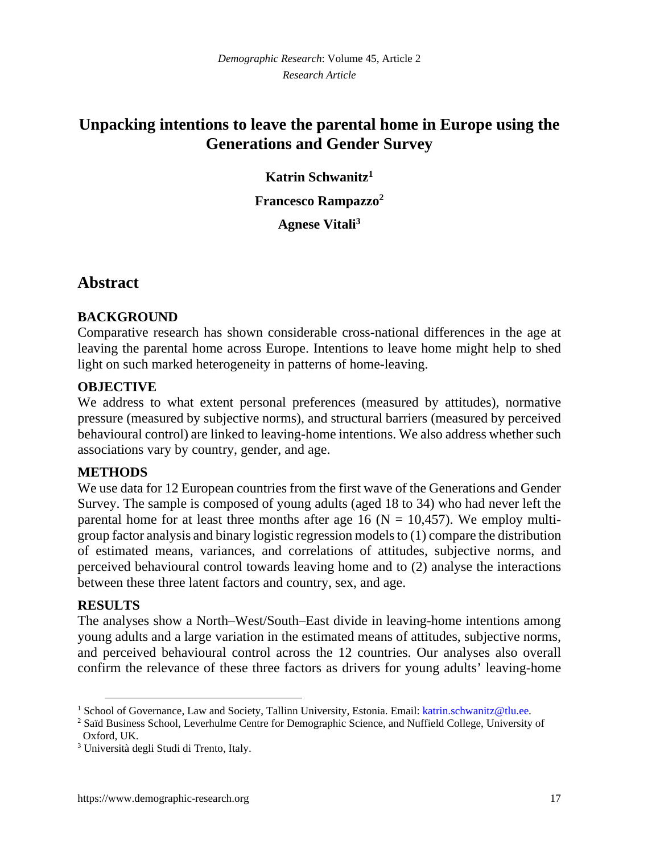# **Unpacking intentions to leave the parental home in Europe using the Generations and Gender Survey**

**Katrin Schwanitz[1](#page-2-0)**

**Francesco Rampazzo[2](#page-2-1)**

**Agnese Vitali[3](#page-2-2)**

## **Abstract**

### **BACKGROUND**

Comparative research has shown considerable cross-national differences in the age at leaving the parental home across Europe. Intentions to leave home might help to shed light on such marked heterogeneity in patterns of home-leaving.

### **OBJECTIVE**

We address to what extent personal preferences (measured by attitudes), normative pressure (measured by subjective norms), and structural barriers (measured by perceived behavioural control) are linked to leaving-home intentions. We also address whether such associations vary by country, gender, and age.

#### **METHODS**

We use data for 12 European countries from the first wave of the Generations and Gender Survey. The sample is composed of young adults (aged 18 to 34) who had never left the parental home for at least three months after age 16 ( $N = 10,457$ ). We employ multigroup factor analysis and binary logistic regression models to (1) compare the distribution of estimated means, variances, and correlations of attitudes, subjective norms, and perceived behavioural control towards leaving home and to (2) analyse the interactions between these three latent factors and country, sex, and age.

#### **RESULTS**

The analyses show a North–West/South–East divide in leaving-home intentions among young adults and a large variation in the estimated means of attitudes, subjective norms, and perceived behavioural control across the 12 countries. Our analyses also overall confirm the relevance of these three factors as drivers for young adults' leaving-home

<span id="page-2-0"></span><sup>&</sup>lt;sup>1</sup> School of Governance, Law and Society, Tallinn University, Estonia. Email: katrin.schwanitz@tlu.ee.

<span id="page-2-1"></span><sup>&</sup>lt;sup>2</sup> Saïd Business School, Leverhulme Centre for Demographic Science, and Nuffield College, University of Oxford, UK.

<span id="page-2-2"></span><sup>3</sup> Università degli Studi di Trento, Italy.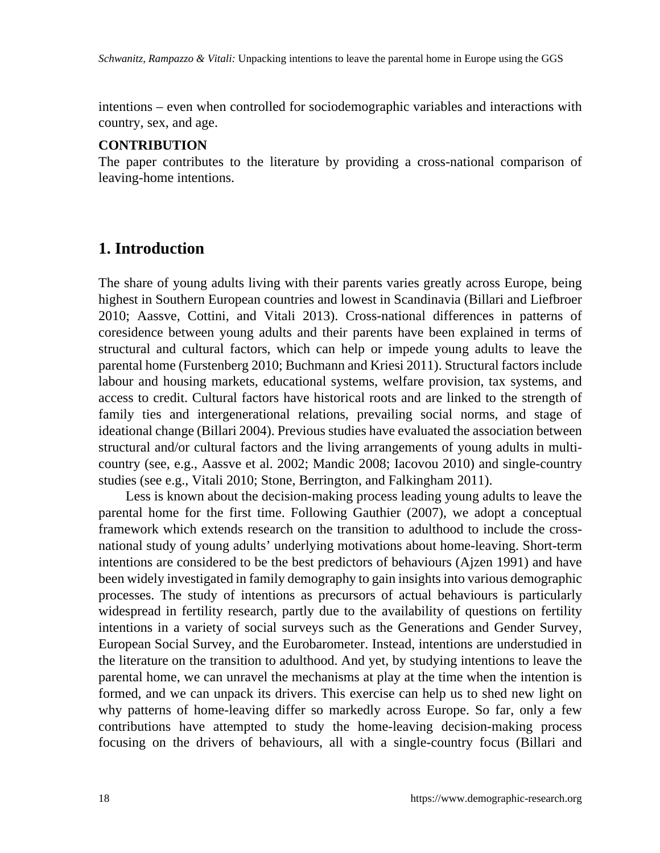intentions – even when controlled for sociodemographic variables and interactions with country, sex, and age.

#### **CONTRIBUTION**

The paper contributes to the literature by providing a cross-national comparison of leaving-home intentions.

## **1. Introduction**

The share of young adults living with their parents varies greatly across Europe, being highest in Southern European countries and lowest in Scandinavia (Billari and Liefbroer 2010; Aassve, Cottini, and Vitali 2013). Cross-national differences in patterns of coresidence between young adults and their parents have been explained in terms of structural and cultural factors, which can help or impede young adults to leave the parental home (Furstenberg 2010; Buchmann and Kriesi 2011). Structural factors include labour and housing markets, educational systems, welfare provision, tax systems, and access to credit. Cultural factors have historical roots and are linked to the strength of family ties and intergenerational relations, prevailing social norms, and stage of ideational change (Billari 2004). Previous studies have evaluated the association between structural and/or cultural factors and the living arrangements of young adults in multicountry (see, e.g., Aassve et al. 2002; Mandic 2008; Iacovou 2010) and single-country studies (see e.g., Vitali 2010; Stone, Berrington, and Falkingham 2011).

Less is known about the decision-making process leading young adults to leave the parental home for the first time. Following Gauthier (2007), we adopt a conceptual framework which extends research on the transition to adulthood to include the crossnational study of young adults' underlying motivations about home-leaving. Short-term intentions are considered to be the best predictors of behaviours (Ajzen 1991) and have been widely investigated in family demography to gain insights into various demographic processes. The study of intentions as precursors of actual behaviours is particularly widespread in fertility research, partly due to the availability of questions on fertility intentions in a variety of social surveys such as the Generations and Gender Survey, European Social Survey, and the Eurobarometer. Instead, intentions are understudied in the literature on the transition to adulthood. And yet, by studying intentions to leave the parental home, we can unravel the mechanisms at play at the time when the intention is formed, and we can unpack its drivers. This exercise can help us to shed new light on why patterns of home-leaving differ so markedly across Europe. So far, only a few contributions have attempted to study the home-leaving decision-making process focusing on the drivers of behaviours, all with a single-country focus (Billari and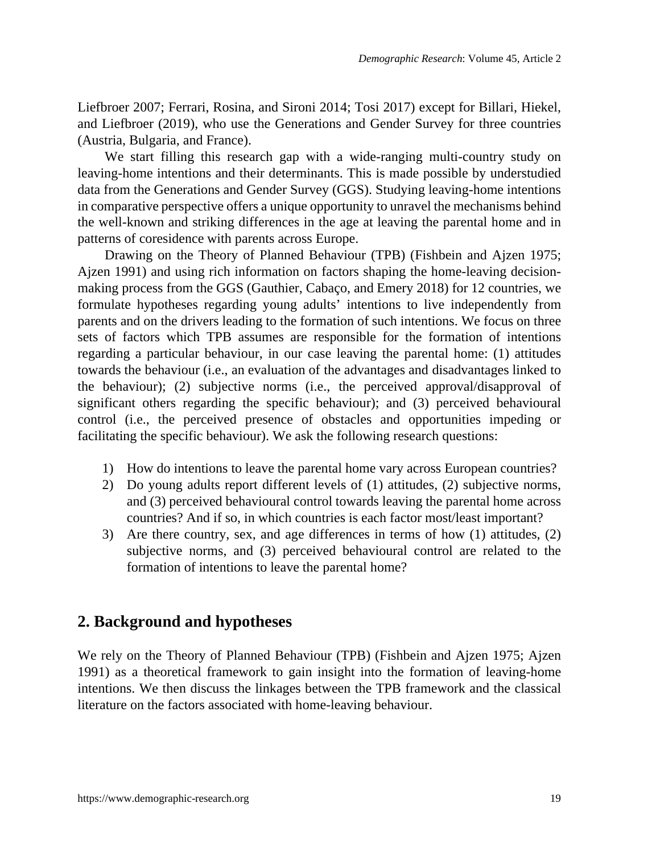Liefbroer 2007; Ferrari, Rosina, and Sironi 2014; Tosi 2017) except for Billari, Hiekel, and Liefbroer (2019), who use the Generations and Gender Survey for three countries (Austria, Bulgaria, and France).

We start filling this research gap with a wide-ranging multi-country study on leaving-home intentions and their determinants. This is made possible by understudied data from the Generations and Gender Survey (GGS). Studying leaving-home intentions in comparative perspective offers a unique opportunity to unravel the mechanisms behind the well-known and striking differences in the age at leaving the parental home and in patterns of coresidence with parents across Europe.

Drawing on the Theory of Planned Behaviour (TPB) (Fishbein and Ajzen 1975; Ajzen 1991) and using rich information on factors shaping the home-leaving decisionmaking process from the GGS (Gauthier, Cabaço, and Emery 2018) for 12 countries, we formulate hypotheses regarding young adults' intentions to live independently from parents and on the drivers leading to the formation of such intentions. We focus on three sets of factors which TPB assumes are responsible for the formation of intentions regarding a particular behaviour, in our case leaving the parental home: (1) attitudes towards the behaviour (i.e., an evaluation of the advantages and disadvantages linked to the behaviour); (2) subjective norms (i.e., the perceived approval/disapproval of significant others regarding the specific behaviour); and (3) perceived behavioural control (i.e., the perceived presence of obstacles and opportunities impeding or facilitating the specific behaviour). We ask the following research questions:

- 1) How do intentions to leave the parental home vary across European countries?
- 2) Do young adults report different levels of (1) attitudes, (2) subjective norms, and (3) perceived behavioural control towards leaving the parental home across countries? And if so, in which countries is each factor most/least important?
- 3) Are there country, sex, and age differences in terms of how (1) attitudes, (2) subjective norms, and (3) perceived behavioural control are related to the formation of intentions to leave the parental home?

## **2. Background and hypotheses**

We rely on the Theory of Planned Behaviour (TPB) (Fishbein and Ajzen 1975; Ajzen 1991) as a theoretical framework to gain insight into the formation of leaving-home intentions. We then discuss the linkages between the TPB framework and the classical literature on the factors associated with home-leaving behaviour.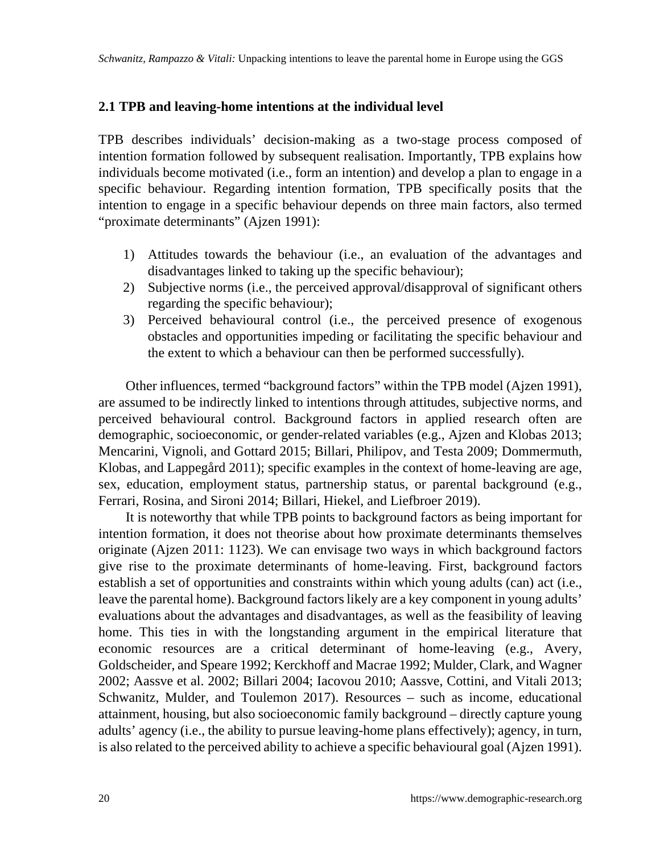#### **2.1 TPB and leaving-home intentions at the individual level**

TPB describes individuals' decision-making as a two-stage process composed of intention formation followed by subsequent realisation. Importantly, TPB explains how individuals become motivated (i.e., form an intention) and develop a plan to engage in a specific behaviour. Regarding intention formation, TPB specifically posits that the intention to engage in a specific behaviour depends on three main factors, also termed "proximate determinants" (Ajzen 1991):

- 1) Attitudes towards the behaviour (i.e., an evaluation of the advantages and disadvantages linked to taking up the specific behaviour);
- 2) Subjective norms (i.e., the perceived approval/disapproval of significant others regarding the specific behaviour);
- 3) Perceived behavioural control (i.e., the perceived presence of exogenous obstacles and opportunities impeding or facilitating the specific behaviour and the extent to which a behaviour can then be performed successfully).

Other influences, termed "background factors" within the TPB model (Ajzen 1991), are assumed to be indirectly linked to intentions through attitudes, subjective norms, and perceived behavioural control. Background factors in applied research often are demographic, socioeconomic, or gender-related variables (e.g., Ajzen and Klobas 2013; Mencarini, Vignoli, and Gottard 2015; Billari, Philipov, and Testa 2009; Dommermuth, Klobas, and Lappegård 2011); specific examples in the context of home-leaving are age, sex, education, employment status, partnership status, or parental background (e.g., Ferrari, Rosina, and Sironi 2014; Billari, Hiekel, and Liefbroer 2019).

It is noteworthy that while TPB points to background factors as being important for intention formation, it does not theorise about how proximate determinants themselves originate (Ajzen 2011: 1123). We can envisage two ways in which background factors give rise to the proximate determinants of home-leaving. First, background factors establish a set of opportunities and constraints within which young adults (can) act (i.e., leave the parental home). Background factors likely are a key component in young adults' evaluations about the advantages and disadvantages, as well as the feasibility of leaving home. This ties in with the longstanding argument in the empirical literature that economic resources are a critical determinant of home-leaving (e.g., Avery, Goldscheider, and Speare 1992; Kerckhoff and Macrae 1992; Mulder, Clark, and Wagner 2002; Aassve et al. 2002; Billari 2004; Iacovou 2010; Aassve, Cottini, and Vitali 2013; Schwanitz, Mulder, and Toulemon 2017). Resources – such as income, educational attainment, housing, but also socioeconomic family background – directly capture young adults' agency (i.e., the ability to pursue leaving-home plans effectively); agency, in turn, is also related to the perceived ability to achieve a specific behavioural goal (Ajzen 1991).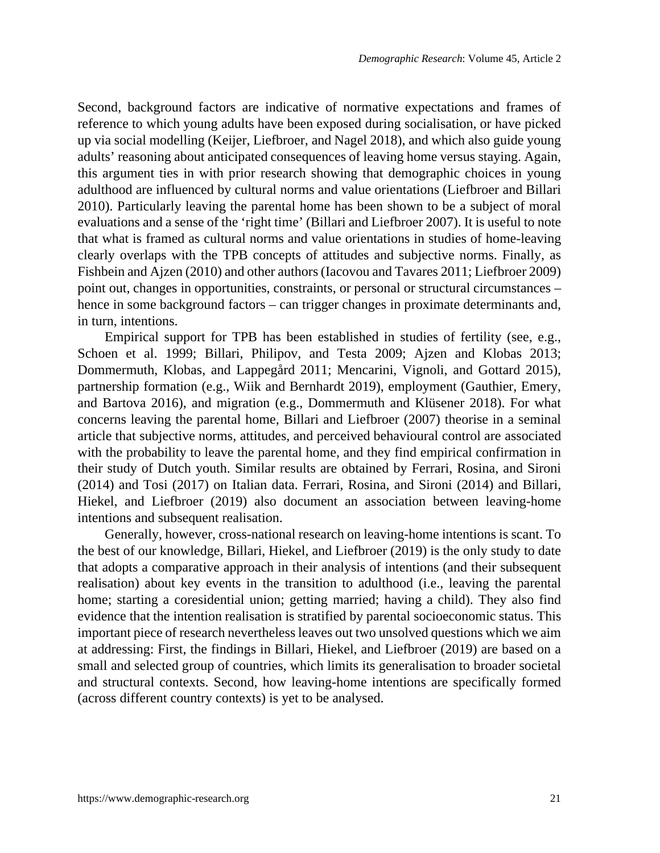Second, background factors are indicative of normative expectations and frames of reference to which young adults have been exposed during socialisation, or have picked up via social modelling (Keijer, Liefbroer, and Nagel 2018), and which also guide young adults' reasoning about anticipated consequences of leaving home versus staying. Again, this argument ties in with prior research showing that demographic choices in young adulthood are influenced by cultural norms and value orientations (Liefbroer and Billari 2010). Particularly leaving the parental home has been shown to be a subject of moral evaluations and a sense of the 'right time' (Billari and Liefbroer 2007). It is useful to note that what is framed as cultural norms and value orientations in studies of home-leaving clearly overlaps with the TPB concepts of attitudes and subjective norms. Finally, as Fishbein and Ajzen (2010) and other authors (Iacovou and Tavares 2011; Liefbroer 2009) point out, changes in opportunities, constraints, or personal or structural circumstances – hence in some background factors – can trigger changes in proximate determinants and, in turn, intentions.

Empirical support for TPB has been established in studies of fertility (see, e.g., Schoen et al. 1999; Billari, Philipov, and Testa 2009; Ajzen and Klobas 2013; Dommermuth, Klobas, and Lappegård 2011; Mencarini, Vignoli, and Gottard 2015), partnership formation (e.g., Wiik and Bernhardt 2019), employment (Gauthier, Emery, and Bartova 2016), and migration (e.g., Dommermuth and Klüsener 2018). For what concerns leaving the parental home, Billari and Liefbroer (2007) theorise in a seminal article that subjective norms, attitudes, and perceived behavioural control are associated with the probability to leave the parental home, and they find empirical confirmation in their study of Dutch youth. Similar results are obtained by Ferrari, Rosina, and Sironi (2014) and Tosi (2017) on Italian data. Ferrari, Rosina, and Sironi (2014) and Billari, Hiekel, and Liefbroer (2019) also document an association between leaving-home intentions and subsequent realisation.

Generally, however, cross-national research on leaving-home intentions is scant. To the best of our knowledge, Billari, Hiekel, and Liefbroer (2019) is the only study to date that adopts a comparative approach in their analysis of intentions (and their subsequent realisation) about key events in the transition to adulthood (i.e., leaving the parental home; starting a coresidential union; getting married; having a child). They also find evidence that the intention realisation is stratified by parental socioeconomic status. This important piece of research nevertheless leaves out two unsolved questions which we aim at addressing: First, the findings in Billari, Hiekel, and Liefbroer (2019) are based on a small and selected group of countries, which limits its generalisation to broader societal and structural contexts. Second, how leaving-home intentions are specifically formed (across different country contexts) is yet to be analysed.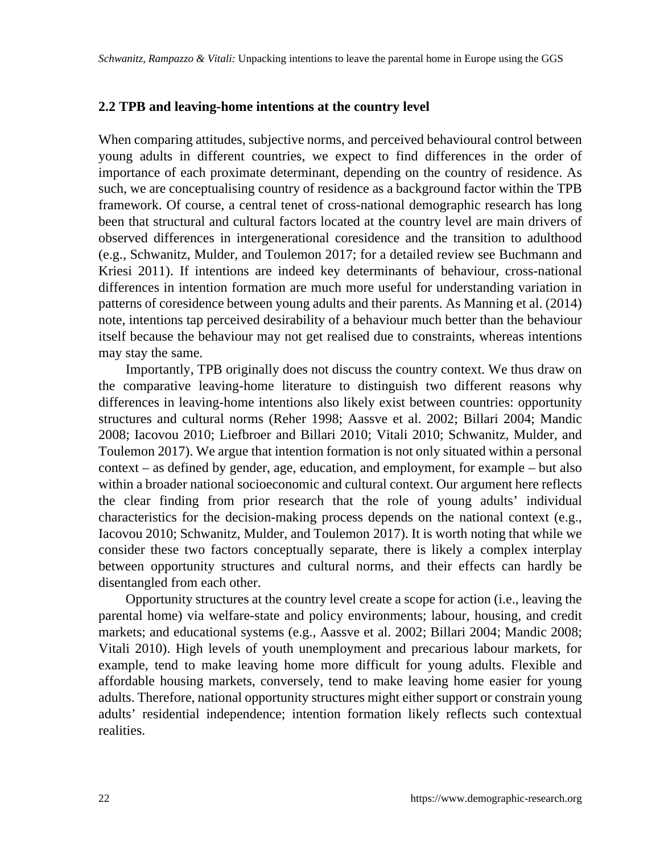#### **2.2 TPB and leaving-home intentions at the country level**

When comparing attitudes, subjective norms, and perceived behavioural control between young adults in different countries, we expect to find differences in the order of importance of each proximate determinant, depending on the country of residence. As such, we are conceptualising country of residence as a background factor within the TPB framework. Of course, a central tenet of cross-national demographic research has long been that structural and cultural factors located at the country level are main drivers of observed differences in intergenerational coresidence and the transition to adulthood (e.g., Schwanitz, Mulder, and Toulemon 2017; for a detailed review see Buchmann and Kriesi 2011). If intentions are indeed key determinants of behaviour, cross-national differences in intention formation are much more useful for understanding variation in patterns of coresidence between young adults and their parents. As Manning et al. (2014) note, intentions tap perceived desirability of a behaviour much better than the behaviour itself because the behaviour may not get realised due to constraints, whereas intentions may stay the same.

Importantly, TPB originally does not discuss the country context. We thus draw on the comparative leaving-home literature to distinguish two different reasons why differences in leaving-home intentions also likely exist between countries: opportunity structures and cultural norms (Reher 1998; Aassve et al. 2002; Billari 2004; Mandic 2008; Iacovou 2010; Liefbroer and Billari 2010; Vitali 2010; Schwanitz, Mulder, and Toulemon 2017). We argue that intention formation is not only situated within a personal context – as defined by gender, age, education, and employment, for example – but also within a broader national socioeconomic and cultural context. Our argument here reflects the clear finding from prior research that the role of young adults' individual characteristics for the decision-making process depends on the national context (e.g., Iacovou 2010; Schwanitz, Mulder, and Toulemon 2017). It is worth noting that while we consider these two factors conceptually separate, there is likely a complex interplay between opportunity structures and cultural norms, and their effects can hardly be disentangled from each other.

Opportunity structures at the country level create a scope for action (i.e., leaving the parental home) via welfare-state and policy environments; labour, housing, and credit markets; and educational systems (e.g., Aassve et al. 2002; Billari 2004; Mandic 2008; Vitali 2010). High levels of youth unemployment and precarious labour markets, for example, tend to make leaving home more difficult for young adults. Flexible and affordable housing markets, conversely, tend to make leaving home easier for young adults. Therefore, national opportunity structures might either support or constrain young adults' residential independence; intention formation likely reflects such contextual realities.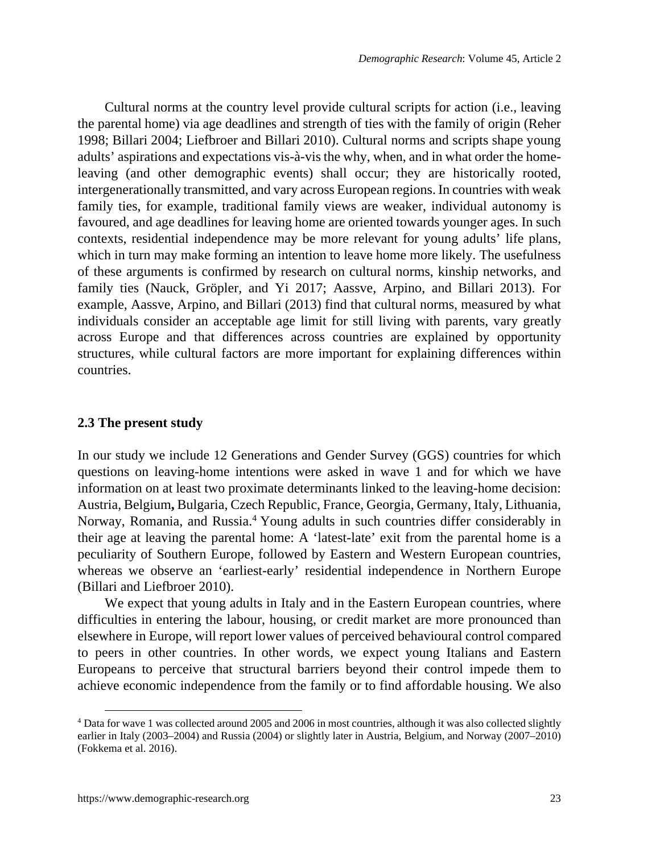Cultural norms at the country level provide cultural scripts for action (i.e., leaving the parental home) via age deadlines and strength of ties with the family of origin (Reher 1998; Billari 2004; Liefbroer and Billari 2010). Cultural norms and scripts shape young adults' aspirations and expectations vis-à-vis the why, when, and in what order the homeleaving (and other demographic events) shall occur; they are historically rooted, intergenerationally transmitted, and vary across European regions. In countries with weak family ties, for example, traditional family views are weaker, individual autonomy is favoured, and age deadlines for leaving home are oriented towards younger ages. In such contexts, residential independence may be more relevant for young adults' life plans, which in turn may make forming an intention to leave home more likely. The usefulness of these arguments is confirmed by research on cultural norms, kinship networks, and family ties (Nauck, Gröpler, and Yi 2017; Aassve, Arpino, and Billari 2013). For example, Aassve, Arpino, and Billari (2013) find that cultural norms, measured by what individuals consider an acceptable age limit for still living with parents, vary greatly across Europe and that differences across countries are explained by opportunity structures, while cultural factors are more important for explaining differences within countries.

#### **2.3 The present study**

In our study we include 12 Generations and Gender Survey (GGS) countries for which questions on leaving-home intentions were asked in wave 1 and for which we have information on at least two proximate determinants linked to the leaving-home decision: Austria, Belgium**,** Bulgaria, Czech Republic, France, Georgia, Germany, Italy, Lithuania, Norway, Romania, and Russia.<sup>[4](#page-8-0)</sup> Young adults in such countries differ considerably in their age at leaving the parental home: A 'latest-late' exit from the parental home is a peculiarity of Southern Europe, followed by Eastern and Western European countries, whereas we observe an 'earliest-early' residential independence in Northern Europe (Billari and Liefbroer 2010).

We expect that young adults in Italy and in the Eastern European countries, where difficulties in entering the labour, housing, or credit market are more pronounced than elsewhere in Europe, will report lower values of perceived behavioural control compared to peers in other countries. In other words, we expect young Italians and Eastern Europeans to perceive that structural barriers beyond their control impede them to achieve economic independence from the family or to find affordable housing. We also

<span id="page-8-0"></span><sup>&</sup>lt;sup>4</sup> Data for wave 1 was collected around 2005 and 2006 in most countries, although it was also collected slightly earlier in Italy (2003–2004) and Russia (2004) or slightly later in Austria, Belgium, and Norway (2007–2010) (Fokkema et al. 2016).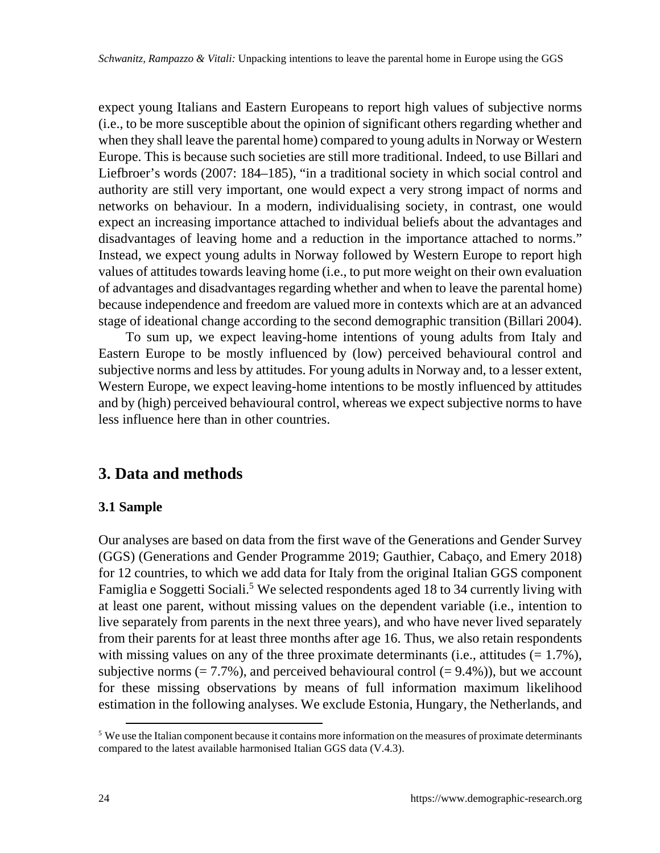expect young Italians and Eastern Europeans to report high values of subjective norms (i.e., to be more susceptible about the opinion of significant others regarding whether and when they shall leave the parental home) compared to young adults in Norway or Western Europe. This is because such societies are still more traditional. Indeed, to use Billari and Liefbroer's words (2007: 184–185), "in a traditional society in which social control and authority are still very important, one would expect a very strong impact of norms and networks on behaviour. In a modern, individualising society, in contrast, one would expect an increasing importance attached to individual beliefs about the advantages and disadvantages of leaving home and a reduction in the importance attached to norms." Instead, we expect young adults in Norway followed by Western Europe to report high values of attitudes towards leaving home (i.e., to put more weight on their own evaluation of advantages and disadvantages regarding whether and when to leave the parental home) because independence and freedom are valued more in contexts which are at an advanced stage of ideational change according to the second demographic transition (Billari 2004).

To sum up, we expect leaving-home intentions of young adults from Italy and Eastern Europe to be mostly influenced by (low) perceived behavioural control and subjective norms and less by attitudes. For young adults in Norway and, to a lesser extent, Western Europe, we expect leaving-home intentions to be mostly influenced by attitudes and by (high) perceived behavioural control, whereas we expect subjective norms to have less influence here than in other countries.

## **3. Data and methods**

### **3.1 Sample**

Our analyses are based on data from the first wave of the Generations and Gender Survey (GGS) (Generations and Gender Programme 2019; Gauthier, Cabaço, and Emery 2018) for 12 countries, to which we add data for Italy from the original Italian GGS component Famiglia e Soggetti Sociali.<sup>[5](#page-9-0)</sup> We selected respondents aged 18 to 34 currently living with at least one parent, without missing values on the dependent variable (i.e., intention to live separately from parents in the next three years), and who have never lived separately from their parents for at least three months after age 16. Thus, we also retain respondents with missing values on any of the three proximate determinants (i.e., attitudes  $(= 1.7\%)$ , subjective norms (= 7.7%), and perceived behavioural control (=  $9.4\%$ )), but we account for these missing observations by means of full information maximum likelihood estimation in the following analyses. We exclude Estonia, Hungary, the Netherlands, and

<span id="page-9-0"></span><sup>&</sup>lt;sup>5</sup> We use the Italian component because it contains more information on the measures of proximate determinants compared to the latest available harmonised Italian GGS data (V.4.3).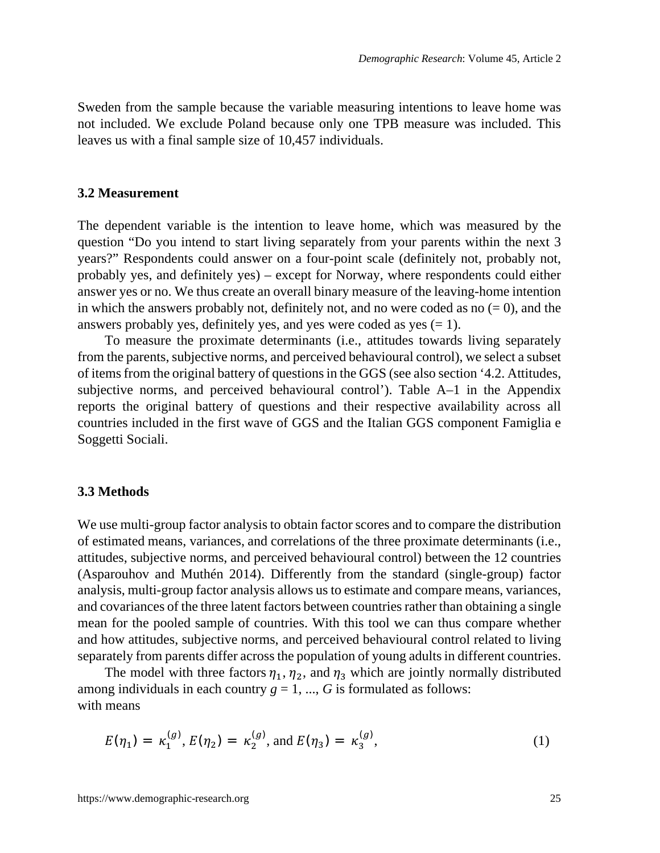Sweden from the sample because the variable measuring intentions to leave home was not included. We exclude Poland because only one TPB measure was included. This leaves us with a final sample size of 10,457 individuals.

#### **3.2 Measurement**

The dependent variable is the intention to leave home, which was measured by the question "Do you intend to start living separately from your parents within the next 3 years?" Respondents could answer on a four-point scale (definitely not, probably not, probably yes, and definitely yes) – except for Norway, where respondents could either answer yes or no. We thus create an overall binary measure of the leaving-home intention in which the answers probably not, definitely not, and no were coded as no  $(= 0)$ , and the answers probably yes, definitely yes, and yes were coded as yes  $(= 1)$ .

To measure the proximate determinants (i.e., attitudes towards living separately from the parents, subjective norms, and perceived behavioural control), we select a subset of items from the original battery of questions in the GGS (see also section '4.2. Attitudes, subjective norms, and perceived behavioural control'). Table A–1 in the Appendix reports the original battery of questions and their respective availability across all countries included in the first wave of GGS and the Italian GGS component Famiglia e Soggetti Sociali.

#### **3.3 Methods**

We use multi-group factor analysis to obtain factor scores and to compare the distribution of estimated means, variances, and correlations of the three proximate determinants (i.e., attitudes, subjective norms, and perceived behavioural control) between the 12 countries (Asparouhov and Muthén 2014). Differently from the standard (single-group) factor analysis, multi-group factor analysis allows us to estimate and compare means, variances, and covariances of the three latent factors between countries rather than obtaining a single mean for the pooled sample of countries. With this tool we can thus compare whether and how attitudes, subjective norms, and perceived behavioural control related to living separately from parents differ across the population of young adults in different countries.

The model with three factors  $\eta_1$ ,  $\eta_2$ , and  $\eta_3$  which are jointly normally distributed among individuals in each country  $g = 1, ..., G$  is formulated as follows: with means

$$
E(\eta_1) = \kappa_1^{(g)}, E(\eta_2) = \kappa_2^{(g)}, \text{ and } E(\eta_3) = \kappa_3^{(g)}, \tag{1}
$$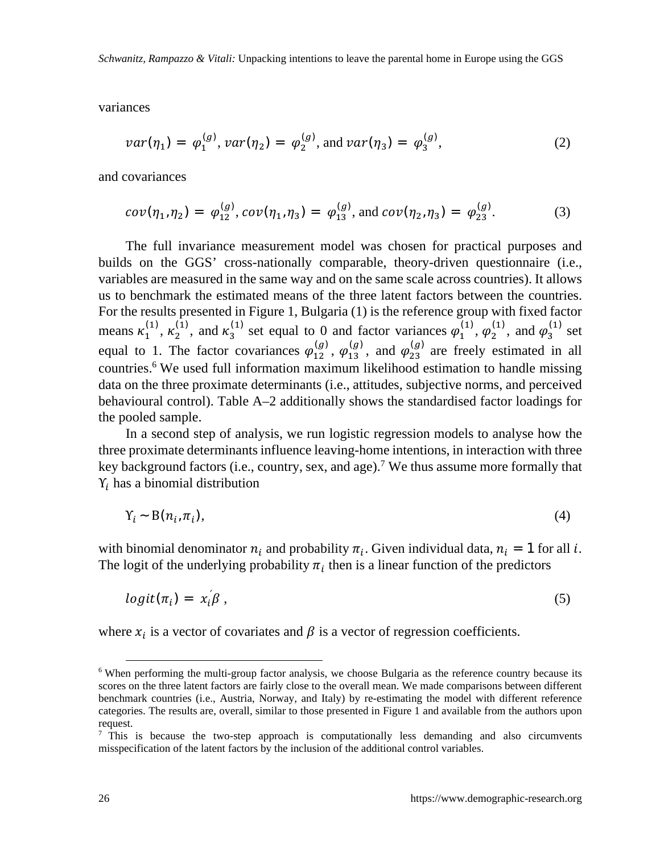*Schwanitz, Rampazzo & Vitali:* Unpacking intentions to leave the parental home in Europe using the GGS

variances

$$
var(\eta_1) = \varphi_1^{(g)}, var(\eta_2) = \varphi_2^{(g)}, \text{ and } var(\eta_3) = \varphi_3^{(g)}, \tag{2}
$$

and covariances

$$
cov(\eta_1, \eta_2) = \varphi_{12}^{(g)}, cov(\eta_1, \eta_3) = \varphi_{13}^{(g)}, \text{ and } cov(\eta_2, \eta_3) = \varphi_{23}^{(g)}.
$$
 (3)

The full invariance measurement model was chosen for practical purposes and builds on the GGS' cross-nationally comparable, theory-driven questionnaire (i.e., variables are measured in the same way and on the same scale across countries). It allows us to benchmark the estimated means of the three latent factors between the countries. For the results presented in Figure 1, Bulgaria (1) is the reference group with fixed factor means  $\kappa_1^{(1)}$ ,  $\kappa_2^{(1)}$ , and  $\kappa_3^{(1)}$  set equal to 0 and factor variances  $\varphi_1^{(1)}$ ,  $\varphi_2^{(1)}$ , and  $\varphi_3^{(1)}$  set equal to 1. The factor covariances  $\varphi_{12}^{(g)}$ ,  $\varphi_{13}^{(g)}$ , and  $\varphi_{23}^{(g)}$  are freely estimated in all countries.[6](#page-11-0) We used full information maximum likelihood estimation to handle missing data on the three proximate determinants (i.e., attitudes, subjective norms, and perceived behavioural control). Table A–2 additionally shows the standardised factor loadings for the pooled sample.

In a second step of analysis, we run logistic regression models to analyse how the three proximate determinants influence leaving-home intentions, in interaction with three key background factors (i.e., country, sex, and age).<sup>[7](#page-11-1)</sup> We thus assume more formally that  $Y_i$  has a binomial distribution

$$
Y_i \sim B(n_i, \pi_i), \tag{4}
$$

with binomial denominator  $n_i$  and probability  $\pi_i$ . Given individual data,  $n_i = 1$  for all *i*. The logit of the underlying probability  $\pi_i$  then is a linear function of the predictors

$$
logit(\pi_i) = x_i \beta , \qquad (5)
$$

where  $x_i$  is a vector of covariates and  $\beta$  is a vector of regression coefficients.

<span id="page-11-0"></span><sup>&</sup>lt;sup>6</sup> When performing the multi-group factor analysis, we choose Bulgaria as the reference country because its scores on the three latent factors are fairly close to the overall mean. We made comparisons between different benchmark countries (i.e., Austria, Norway, and Italy) by re-estimating the model with different reference categories. The results are, overall, similar to those presented in Figure 1 and available from the authors upon request.

<span id="page-11-1"></span><sup>&</sup>lt;sup>7</sup> This is because the two-step approach is computationally less demanding and also circumvents misspecification of the latent factors by the inclusion of the additional control variables.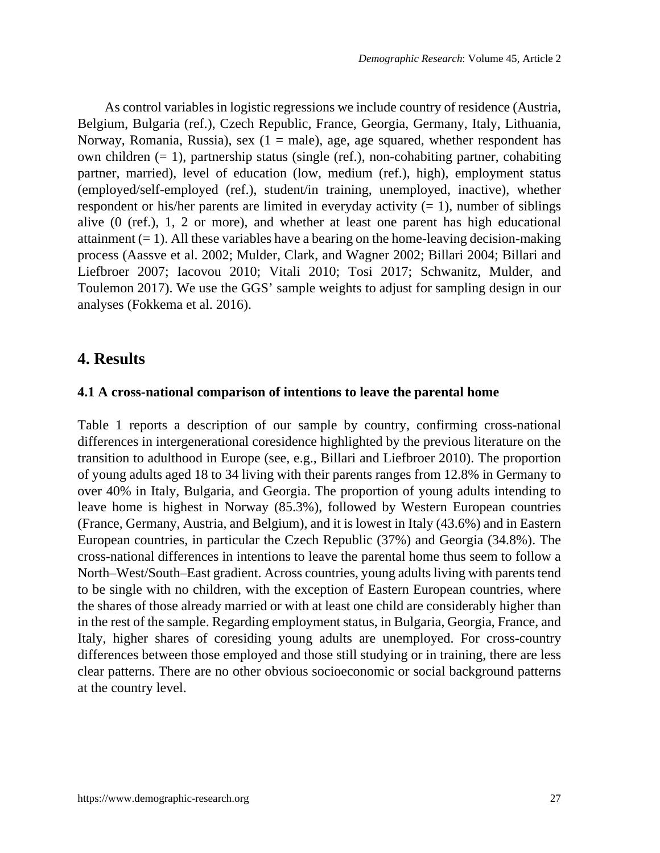As control variables in logistic regressions we include country of residence (Austria, Belgium, Bulgaria (ref.), Czech Republic, France, Georgia, Germany, Italy, Lithuania, Norway, Romania, Russia), sex  $(1 = male)$ , age, age squared, whether respondent has own children (= 1), partnership status (single (ref.), non-cohabiting partner, cohabiting partner, married), level of education (low, medium (ref.), high), employment status (employed/self-employed (ref.), student/in training, unemployed, inactive), whether respondent or his/her parents are limited in everyday activity  $(= 1)$ , number of siblings alive (0 (ref.), 1, 2 or more), and whether at least one parent has high educational attainment  $(= 1)$ . All these variables have a bearing on the home-leaving decision-making process (Aassve et al. 2002; Mulder, Clark, and Wagner 2002; Billari 2004; Billari and Liefbroer 2007; Iacovou 2010; Vitali 2010; Tosi 2017; Schwanitz, Mulder, and Toulemon 2017). We use the GGS' sample weights to adjust for sampling design in our analyses (Fokkema et al. 2016).

### **4. Results**

#### **4.1 A cross-national comparison of intentions to leave the parental home**

Table 1 reports a description of our sample by country, confirming cross-national differences in intergenerational coresidence highlighted by the previous literature on the transition to adulthood in Europe (see, e.g., Billari and Liefbroer 2010). The proportion of young adults aged 18 to 34 living with their parents ranges from 12.8% in Germany to over 40% in Italy, Bulgaria, and Georgia. The proportion of young adults intending to leave home is highest in Norway (85.3%), followed by Western European countries (France, Germany, Austria, and Belgium), and it is lowest in Italy (43.6%) and in Eastern European countries, in particular the Czech Republic (37%) and Georgia (34.8%). The cross-national differences in intentions to leave the parental home thus seem to follow a North–West/South–East gradient. Across countries, young adults living with parents tend to be single with no children, with the exception of Eastern European countries, where the shares of those already married or with at least one child are considerably higher than in the rest of the sample. Regarding employment status, in Bulgaria, Georgia, France, and Italy, higher shares of coresiding young adults are unemployed. For cross-country differences between those employed and those still studying or in training, there are less clear patterns. There are no other obvious socioeconomic or social background patterns at the country level.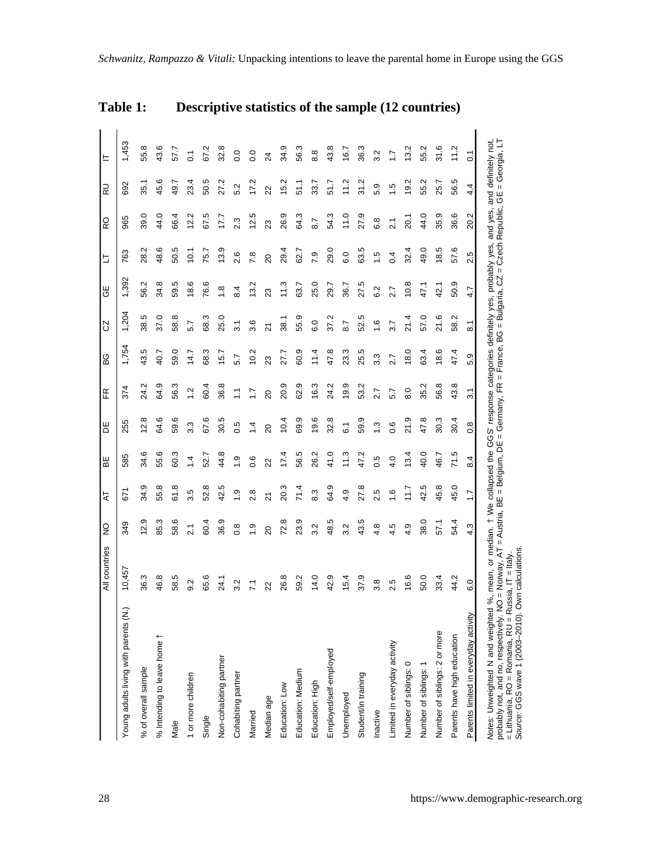|                                                                                                                                                                                                                                                                                                                                             | All countries   | $\frac{1}{2}$    | ₹                | BE        | Ж                | Æ               | 6G    | S                 | ⊌          | ╘               | RO              | RU      | ᄇ                |
|---------------------------------------------------------------------------------------------------------------------------------------------------------------------------------------------------------------------------------------------------------------------------------------------------------------------------------------------|-----------------|------------------|------------------|-----------|------------------|-----------------|-------|-------------------|------------|-----------------|-----------------|---------|------------------|
| Young adults living with parents (N.)                                                                                                                                                                                                                                                                                                       | 10,457          | 349              | 671              | 585       | 255              | 374             | 1,754 | 1,204             | 1,392      | 763             | 965             | 692     | 1,453            |
| % of overall sample                                                                                                                                                                                                                                                                                                                         | 36.3            | 12.9             | 34.9             | 34.6      | 12.8             | 24.2            | 43.5  | 38.5              | 56.2       | 28.2            | 39.0            | .<br>35 | 55.8             |
| % Intending to leave home                                                                                                                                                                                                                                                                                                                   | 46.8            | 85.3             | 55.8             | 55.6      | 64.6             | 64.9            | 40.7  | 37.0              | 34.8       | 48.6            | 44.0            | 45.6    | 43.6             |
| Male                                                                                                                                                                                                                                                                                                                                        | 58.5            | 58.6             | 61.8             | 60.3      | 59.6             | 56.3            | 59.0  | ∞<br>88           | 59.5       | 50.5            | 66.4            | 49.7    | 57.7             |
| 1 or more children                                                                                                                                                                                                                                                                                                                          | 9.2             |                  | 3.5              | $\bar{4}$ | 3.3              | $\frac{1}{2}$   | 14.7  | 5.7               | 18.6       | $\frac{1}{2}$   | 12.2            | 23.4    | $\overline{0}$   |
| Single                                                                                                                                                                                                                                                                                                                                      | 65.6            | 60.4             | 52.8             | 52.7      | 67.6             | 60.4            | 68.3  | 68.3              | 76.6       | $\overline{75}$ | 67.5            | 50.5    | 67.2             |
| Non-cohabiting partner                                                                                                                                                                                                                                                                                                                      | 24.1            | 36.9             | 42.5             | 44.8      | 30.5             | 36.8            | 15.7  | 25.0              | 1.8        | 13.9            | 177             | 27.2    | 32.8             |
| Cohabiting partner                                                                                                                                                                                                                                                                                                                          | 3.2             | $0.\overline{8}$ | ာ့               | ာ့        | 0.5              | Ξ               | 5.7   | $\overline{3}$ .1 | 8.4        | 2.6             | 2.3             | 5.2     | 0.0              |
| Married                                                                                                                                                                                                                                                                                                                                     | $\overline{71}$ | $\frac{1}{2}$    | $\infty$         | 0.6       | 4                | ≊               | 10.2  | 3.6               | 13.2       | 7.8             | 12.5            | 17.2    | $\overline{0}$ . |
| Median age                                                                                                                                                                                                                                                                                                                                  | 22              | 20               | ಸ                | 22        | $\overline{c}$   | $\overline{20}$ | 23    | ಸ                 | 23         | $\overline{c}$  | ಔ               | 22      | 24               |
| Education: Low                                                                                                                                                                                                                                                                                                                              | 26.8            | 72.8             | 20.3             | 17.4      | 10.4             | 20.9            | 27.7  | 38.1              | 11.3       | 29.4            | 26.9            | 15.2    | 34.9             |
| Education: Medium                                                                                                                                                                                                                                                                                                                           | 59.2            | 23.9             | 71.4             | 56.5      | 69.9             | 62.9            | 60.9  | 55.9              | 63.7       | 62.7            | 64.3            | 51.1    | 56.3             |
| Education: High                                                                                                                                                                                                                                                                                                                             | 14.0            | 3.2              | 8.3              | 26.2      | 19.6             | 16.3            | 11.4  | 6.0               | 25.0       | 7.9             | 8.7             | 33.7    | $\frac{8}{8}$    |
| Employed/self-employed                                                                                                                                                                                                                                                                                                                      | 42.9            | 48.5             | 64.9             | 41.0      | 32.8             | 24.2            | 47.8  | 37.2              | 29.7       | 29.0            | 54.3            | 51.7    | 43.8             |
| Unemployed                                                                                                                                                                                                                                                                                                                                  | 15.4            | 3.2              | 4.9              | 11.3      | $\overline{6}$   | 19.9            | 23.3  | 8.7               | 36.7       | 6.0             | 11.0            | 11.2    | 16.7             |
| Student/in training                                                                                                                                                                                                                                                                                                                         | 37.9            | 43.5             | 27.8             | 47.2      | 59.9             | 53.2            | 25.5  | 52.5              | 27.5       | 63.5            | 27.9            | 31.2    | 36.3             |
| Inactive                                                                                                                                                                                                                                                                                                                                    | 3.8             | 4.8              | Ю<br>۵i          | 0.5       | $\ddot{ }$       | 2.7             | 3.3   | 1.6               | 6.2        | 1.5             | 6.8             | ق<br>ທ່ | 3.2              |
| Limited in everyday activity                                                                                                                                                                                                                                                                                                                | 2.5             | 4.5              | ڢ                | 4.0       | 0.6              | 5.7             | 2.7   | 3.7               | 2.7        | 0.4             | $\overline{21}$ | rù.     |                  |
| Number of siblings: 0                                                                                                                                                                                                                                                                                                                       | 16.6            | 4.9              | 11.7             | 13.4      | 21.9             | 8.0             | 18.0  | 21.4              | 10.8       | $\overline{32}$ | 20.1            | 19.2    | 13.2             |
| Number of siblings: 1                                                                                                                                                                                                                                                                                                                       | 50.0            | 38.0             | 42.5             | 40.0      | 47.8             | 35.2            | 63.4  | 57.0              | 47.1       | 49.0            | 44.0            | 55.2    | 55.2             |
| Number of siblings: 2 or more                                                                                                                                                                                                                                                                                                               | 33.4            | 57.1             | 45.8             | 46.7      | 30.3             | 56.8            | 18.6  | 21.6              | $\ddot{a}$ | 18.5            | 35.9            | 25.7    | 31.6             |
| Parents have high education                                                                                                                                                                                                                                                                                                                 | 44.2            | 54.4             | 45.0             | 71.5      | 30.4             | 43.8            | 47.4  | 2<br>58.          | 50.9       | 57.6            | 36.6            | 56.5    | 11.2             |
| Parents limited in everyday activity                                                                                                                                                                                                                                                                                                        | 6.0             | 4.3              | $\overline{1}$ . | 8.4       | $0.\overline{8}$ | 3.1             | 5.9   | $\overline{8.1}$  | 4.7        | rú<br>Ń۰        | 20.2            | 4.4     | $\overline{0}$   |
| Motes: Unweighted N and weighted %, mean, or median. † We collapsed the GGS' response categories definitely yes, probably yes, and yes, and definitely not,<br>probably not, and no, respectively. NO = Norway, AT = Austria, B<br>Source: GGS wave 1 (2003-2010). Own calculations.<br>= Lithuania, RO = Romania, RU = Russia, IT = Italy. |                 |                  |                  |           |                  |                 |       |                   |            |                 |                 |         |                  |

**Table 1: Descriptive statistics of the sample (12 countries)**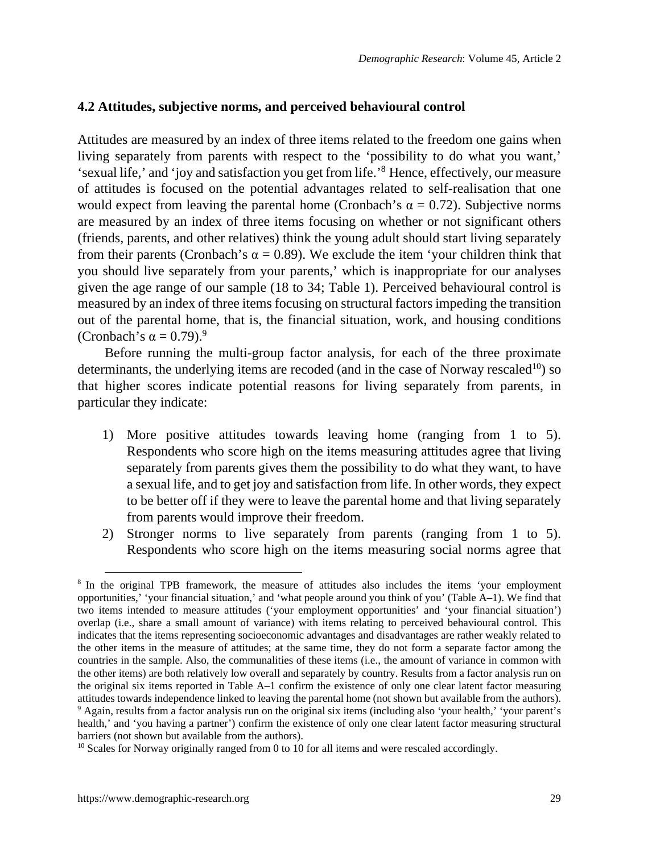#### **4.2 Attitudes, subjective norms, and perceived behavioural control**

Attitudes are measured by an index of three items related to the freedom one gains when living separately from parents with respect to the 'possibility to do what you want,' 'sexual life,' and 'joy and satisfaction you get from life.'<sup>[8](#page-14-0)</sup> Hence, effectively, our measure of attitudes is focused on the potential advantages related to self-realisation that one would expect from leaving the parental home (Cronbach's  $\alpha = 0.72$ ). Subjective norms are measured by an index of three items focusing on whether or not significant others (friends, parents, and other relatives) think the young adult should start living separately from their parents (Cronbach's  $\alpha = 0.89$ ). We exclude the item 'your children think that you should live separately from your parents,' which is inappropriate for our analyses given the age range of our sample (18 to 34; Table 1). Perceived behavioural control is measured by an index of three items focusing on structural factors impeding the transition out of the parental home, that is, the financial situation, work, and housing conditions (Cronbach's  $\alpha = 0.79$  $\alpha = 0.79$ ).<sup>9</sup>

Before running the multi-group factor analysis, for each of the three proximate determinants, the underlying items are recoded (and in the case of Norway rescaled $10$ ) so that higher scores indicate potential reasons for living separately from parents, in particular they indicate:

- 1) More positive attitudes towards leaving home (ranging from 1 to 5). Respondents who score high on the items measuring attitudes agree that living separately from parents gives them the possibility to do what they want, to have a sexual life, and to get joy and satisfaction from life. In other words, they expect to be better off if they were to leave the parental home and that living separately from parents would improve their freedom.
- 2) Stronger norms to live separately from parents (ranging from 1 to 5). Respondents who score high on the items measuring social norms agree that

<span id="page-14-0"></span><sup>&</sup>lt;sup>8</sup> In the original TPB framework, the measure of attitudes also includes the items 'your employment opportunities,' 'your financial situation,' and 'what people around you think of you' (Table A–1). We find that two items intended to measure attitudes ('your employment opportunities' and 'your financial situation') overlap (i.e., share a small amount of variance) with items relating to perceived behavioural control. This indicates that the items representing socioeconomic advantages and disadvantages are rather weakly related to the other items in the measure of attitudes; at the same time, they do not form a separate factor among the countries in the sample. Also, the communalities of these items (i.e., the amount of variance in common with the other items) are both relatively low overall and separately by country. Results from a factor analysis run on the original six items reported in Table A–1 confirm the existence of only one clear latent factor measuring attitudes towards independence linked to leaving the parental home (not shown but available from the authors). 9 Again, results from a factor analysis run on the original six items (including also 'your health,' 'your parent's health,' and 'you having a partner') confirm the existence of only one clear latent factor measuring structural barriers (not shown but available from the authors).

<span id="page-14-2"></span><span id="page-14-1"></span><sup>&</sup>lt;sup>10</sup> Scales for Norway originally ranged from 0 to 10 for all items and were rescaled accordingly.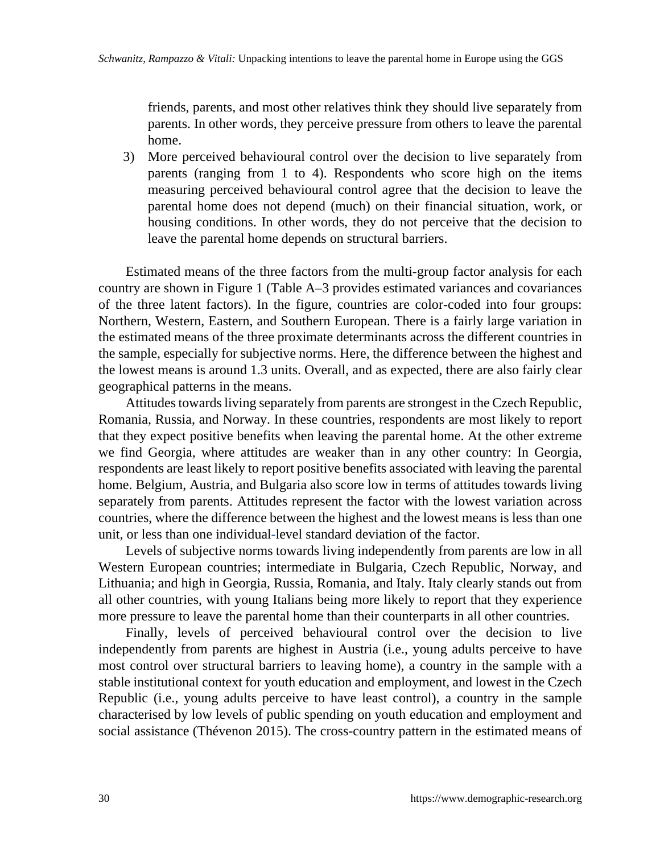friends, parents, and most other relatives think they should live separately from parents. In other words, they perceive pressure from others to leave the parental home.

3) More perceived behavioural control over the decision to live separately from parents (ranging from 1 to 4). Respondents who score high on the items measuring perceived behavioural control agree that the decision to leave the parental home does not depend (much) on their financial situation, work, or housing conditions. In other words, they do not perceive that the decision to leave the parental home depends on structural barriers.

Estimated means of the three factors from the multi-group factor analysis for each country are shown in Figure 1 (Table A–3 provides estimated variances and covariances of the three latent factors). In the figure, countries are color-coded into four groups: Northern, Western, Eastern, and Southern European. There is a fairly large variation in the estimated means of the three proximate determinants across the different countries in the sample, especially for subjective norms. Here, the difference between the highest and the lowest means is around 1.3 units. Overall, and as expected, there are also fairly clear geographical patterns in the means.

Attitudes towards living separately from parents are strongest in the Czech Republic, Romania, Russia, and Norway. In these countries, respondents are most likely to report that they expect positive benefits when leaving the parental home. At the other extreme we find Georgia, where attitudes are weaker than in any other country: In Georgia, respondents are least likely to report positive benefits associated with leaving the parental home. Belgium, Austria, and Bulgaria also score low in terms of attitudes towards living separately from parents. Attitudes represent the factor with the lowest variation across countries, where the difference between the highest and the lowest means is less than one unit, or less than one individual-level standard deviation of the factor.

Levels of subjective norms towards living independently from parents are low in all Western European countries; intermediate in Bulgaria, Czech Republic, Norway, and Lithuania; and high in Georgia, Russia, Romania, and Italy. Italy clearly stands out from all other countries, with young Italians being more likely to report that they experience more pressure to leave the parental home than their counterparts in all other countries.

Finally, levels of perceived behavioural control over the decision to live independently from parents are highest in Austria (i.e., young adults perceive to have most control over structural barriers to leaving home), a country in the sample with a stable institutional context for youth education and employment, and lowest in the Czech Republic (i.e., young adults perceive to have least control), a country in the sample characterised by low levels of public spending on youth education and employment and social assistance (Thévenon 2015). The cross-country pattern in the estimated means of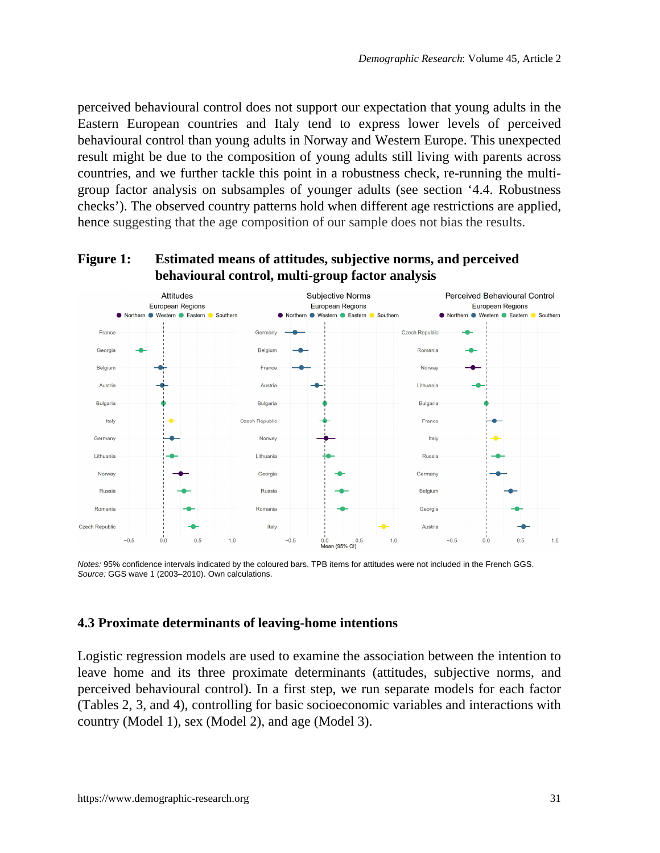perceived behavioural control does not support our expectation that young adults in the Eastern European countries and Italy tend to express lower levels of perceived behavioural control than young adults in Norway and Western Europe. This unexpected result might be due to the composition of young adults still living with parents across countries, and we further tackle this point in a robustness check, re-running the multigroup factor analysis on subsamples of younger adults (see section '4.4. Robustness checks'). The observed country patterns hold when different age restrictions are applied, hence suggesting that the age composition of our sample does not bias the results.



#### **Figure 1: Estimated means of attitudes, subjective norms, and perceived behavioural control, multi-group factor analysis**

*Notes:* 95% confidence intervals indicated by the coloured bars. TPB items for attitudes were not included in the French GGS. *Source:* GGS wave 1 (2003–2010). Own calculations.

#### **4.3 Proximate determinants of leaving-home intentions**

Logistic regression models are used to examine the association between the intention to leave home and its three proximate determinants (attitudes, subjective norms, and perceived behavioural control). In a first step, we run separate models for each factor (Tables 2, 3, and 4), controlling for basic socioeconomic variables and interactions with country (Model 1), sex (Model 2), and age (Model 3).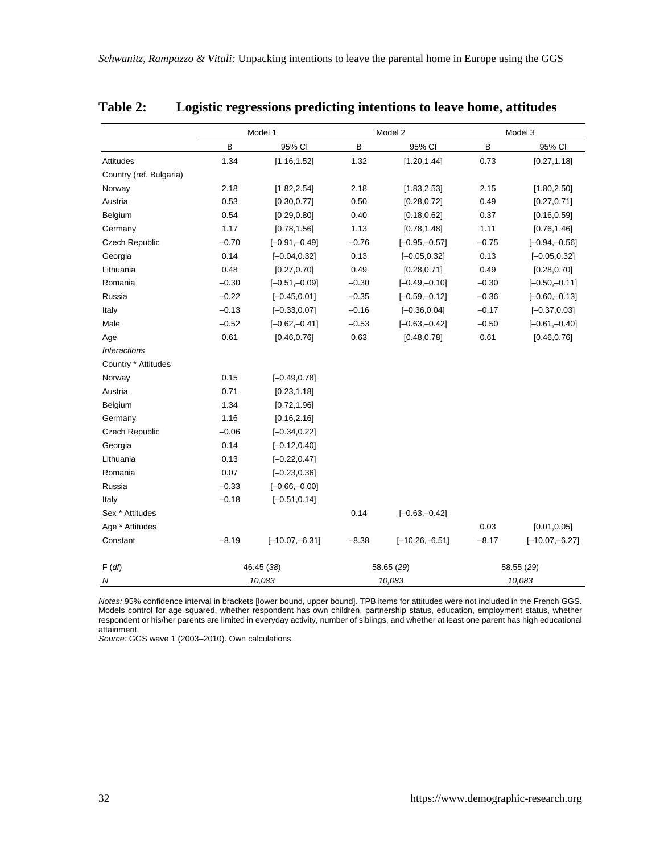|                         |         | Model 1          |         | Model 2          |         | Model 3          |
|-------------------------|---------|------------------|---------|------------------|---------|------------------|
|                         | B       | 95% CI           | B       | 95% CI           | B       | 95% CI           |
| <b>Attitudes</b>        | 1.34    | [1.16, 1.52]     | 1.32    | [1.20, 1.44]     | 0.73    | [0.27, 1.18]     |
| Country (ref. Bulgaria) |         |                  |         |                  |         |                  |
| Norway                  | 2.18    | [1.82, 2.54]     | 2.18    | [1.83, 2.53]     | 2.15    | [1.80, 2.50]     |
| Austria                 | 0.53    | [0.30, 0.77]     | 0.50    | [0.28, 0.72]     | 0.49    | [0.27, 0.71]     |
| Belgium                 | 0.54    | [0.29, 0.80]     | 0.40    | [0.18, 0.62]     | 0.37    | [0.16, 0.59]     |
| Germany                 | 1.17    | [0.78, 1.56]     | 1.13    | [0.78, 1.48]     | 1.11    | [0.76, 1.46]     |
| Czech Republic          | $-0.70$ | $[-0.91,-0.49]$  | $-0.76$ | $[-0.95,-0.57]$  | $-0.75$ | $[-0.94,-0.56]$  |
| Georgia                 | 0.14    | $[-0.04, 0.32]$  | 0.13    | $[-0.05, 0.32]$  | 0.13    | $[-0.05, 0.32]$  |
| Lithuania               | 0.48    | [0.27, 0.70]     | 0.49    | [0.28, 0.71]     | 0.49    | [0.28, 0.70]     |
| Romania                 | $-0.30$ | $[-0.51,-0.09]$  | $-0.30$ | $[-0.49,-0.10]$  | $-0.30$ | $[-0.50,-0.11]$  |
| Russia                  | $-0.22$ | $[-0.45, 0.01]$  | $-0.35$ | $[-0.59,-0.12]$  | $-0.36$ | $[-0.60,-0.13]$  |
| Italy                   | $-0.13$ | $[-0.33, 0.07]$  | $-0.16$ | $[-0.36, 0.04]$  | $-0.17$ | $[-0.37, 0.03]$  |
| Male                    | $-0.52$ | $[-0.62,-0.41]$  | $-0.53$ | $[-0.63,-0.42]$  | $-0.50$ | $[-0.61,-0.40]$  |
| Age                     | 0.61    | [0.46, 0.76]     | 0.63    | [0.48, 0.78]     | 0.61    | [0.46, 0.76]     |
| <b>Interactions</b>     |         |                  |         |                  |         |                  |
| Country * Attitudes     |         |                  |         |                  |         |                  |
| Norway                  | 0.15    | $[-0.49, 0.78]$  |         |                  |         |                  |
| Austria                 | 0.71    | [0.23, 1.18]     |         |                  |         |                  |
| Belgium                 | 1.34    | [0.72, 1.96]     |         |                  |         |                  |
| Germany                 | 1.16    | [0.16, 2.16]     |         |                  |         |                  |
| Czech Republic          | $-0.06$ | $[-0.34, 0.22]$  |         |                  |         |                  |
| Georgia                 | 0.14    | $[-0.12, 0.40]$  |         |                  |         |                  |
| Lithuania               | 0.13    | $[-0.22, 0.47]$  |         |                  |         |                  |
| Romania                 | 0.07    | $[-0.23, 0.36]$  |         |                  |         |                  |
| Russia                  | $-0.33$ | $[-0.66,-0.00]$  |         |                  |         |                  |
| Italy                   | $-0.18$ | $[-0.51, 0.14]$  |         |                  |         |                  |
| Sex * Attitudes         |         |                  | 0.14    | $[-0.63,-0.42]$  |         |                  |
| Age * Attitudes         |         |                  |         |                  | 0.03    | [0.01, 0.05]     |
| Constant                | $-8.19$ | $[-10.07,-6.31]$ | $-8.38$ | $[-10.26,-6.51]$ | $-8.17$ | $[-10.07,-6.27]$ |
| F(df)                   |         | 46.45 (38)       |         | 58.65 (29)       |         | 58.55 (29)       |
| N                       |         | 10,083           |         | 10,083           |         | 10,083           |

### **Table 2: Logistic regressions predicting intentions to leave home, attitudes**

*Notes:* 95% confidence interval in brackets [lower bound, upper bound]. TPB items for attitudes were not included in the French GGS.<br>Models control for age squared, whether respondent has own children, partnership status, respondent or his/her parents are limited in everyday activity, number of siblings, and whether at least one parent has high educational attainment.

*Source:* GGS wave 1 (2003–2010). Own calculations.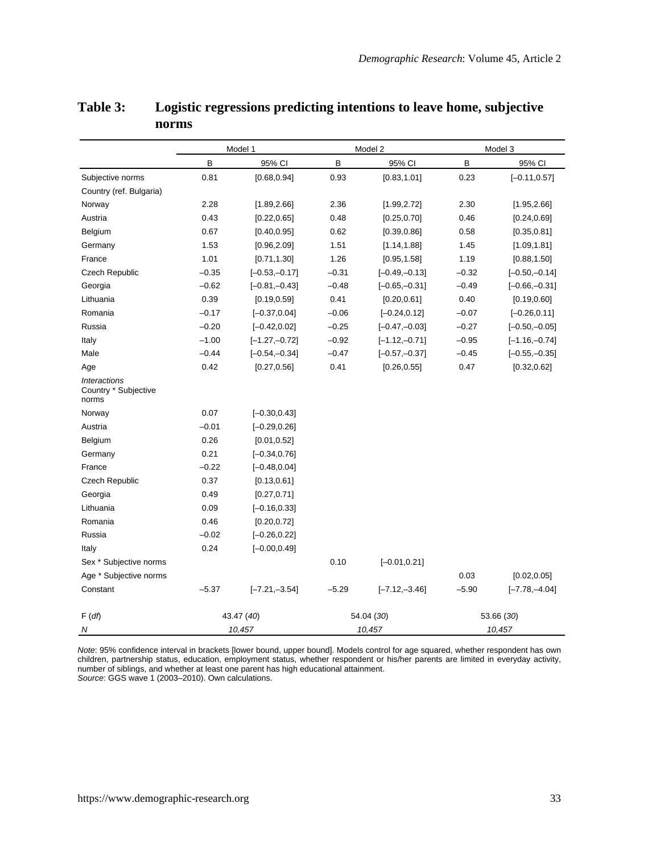|                                                      |         | Model 1          |         | Model 2         |         | Model 3         |
|------------------------------------------------------|---------|------------------|---------|-----------------|---------|-----------------|
|                                                      | B       | 95% CI           | B       | 95% CI          | B       | 95% CI          |
| Subjective norms                                     | 0.81    | [0.68, 0.94]     | 0.93    | [0.83, 1.01]    | 0.23    | $[-0.11, 0.57]$ |
| Country (ref. Bulgaria)                              |         |                  |         |                 |         |                 |
| Norway                                               | 2.28    | [1.89, 2.66]     | 2.36    | [1.99, 2.72]    | 2.30    | [1.95, 2.66]    |
| Austria                                              | 0.43    | [0.22, 0.65]     | 0.48    | [0.25, 0.70]    | 0.46    | [0.24, 0.69]    |
| Belgium                                              | 0.67    | [0.40, 0.95]     | 0.62    | [0.39, 0.86]    | 0.58    | [0.35, 0.81]    |
| Germany                                              | 1.53    | [0.96, 2.09]     | 1.51    | [1.14, 1.88]    | 1.45    | [1.09, 1.81]    |
| France                                               | 1.01    | [0.71, 1.30]     | 1.26    | [0.95, 1.58]    | 1.19    | [0.88, 1.50]    |
| Czech Republic                                       | $-0.35$ | $[-0.53,-0.17]$  | $-0.31$ | $[-0.49,-0.13]$ | $-0.32$ | $[-0.50,-0.14]$ |
| Georgia                                              | $-0.62$ | $[-0.81,-0.43]$  | $-0.48$ | $[-0.65,-0.31]$ | $-0.49$ | $[-0.66,-0.31]$ |
| Lithuania                                            | 0.39    | [0.19, 0.59]     | 0.41    | [0.20, 0.61]    | 0.40    | [0.19, 0.60]    |
| Romania                                              | $-0.17$ | $[-0.37, 0.04]$  | $-0.06$ | $[-0.24, 0.12]$ | $-0.07$ | $[-0.26, 0.11]$ |
| Russia                                               | $-0.20$ | $[-0.42, 0.02]$  | $-0.25$ | $[-0.47,-0.03]$ | $-0.27$ | $[-0.50,-0.05]$ |
| Italy                                                | $-1.00$ | $[-1.27,-0.72]$  | $-0.92$ | $[-1.12,-0.71]$ | $-0.95$ | $[-1.16,-0.74]$ |
| Male                                                 | $-0.44$ | $[-0.54,-0.34]$  | $-0.47$ | $[-0.57,-0.37]$ | $-0.45$ | $[-0.55,-0.35]$ |
| Age                                                  | 0.42    | [0.27, 0.56]     | 0.41    | [0.26, 0.55]    | 0.47    | [0.32, 0.62]    |
| <b>Interactions</b><br>Country * Subjective<br>norms |         |                  |         |                 |         |                 |
| Norway                                               | 0.07    | $[-0.30, 0.43]$  |         |                 |         |                 |
| Austria                                              | $-0.01$ | $[-0.29, 0.26]$  |         |                 |         |                 |
| Belgium                                              | 0.26    | [0.01, 0.52]     |         |                 |         |                 |
| Germany                                              | 0.21    | $[-0.34, 0.76]$  |         |                 |         |                 |
| France                                               | $-0.22$ | $[-0.48, 0.04]$  |         |                 |         |                 |
| Czech Republic                                       | 0.37    | [0.13, 0.61]     |         |                 |         |                 |
| Georgia                                              | 0.49    | [0.27, 0.71]     |         |                 |         |                 |
| Lithuania                                            | 0.09    | $[-0.16, 0.33]$  |         |                 |         |                 |
| Romania                                              | 0.46    | [0.20, 0.72]     |         |                 |         |                 |
| Russia                                               | $-0.02$ | $[-0.26, 0.22]$  |         |                 |         |                 |
| Italy                                                | 0.24    | $[-0.00, 0.49]$  |         |                 |         |                 |
| Sex * Subjective norms                               |         |                  | 0.10    | $[-0.01, 0.21]$ |         |                 |
| Age * Subjective norms                               |         |                  |         |                 | 0.03    | [0.02, 0.05]    |
| Constant                                             | $-5.37$ | $[-7.21, -3.54]$ | $-5.29$ | $[-7.12,-3.46]$ | $-5.90$ | $[-7.78,-4.04]$ |
| F(df)                                                |         | 43.47 (40)       |         | 54.04 (30)      |         | 53.66 (30)      |
| $\mathcal N$                                         |         | 10,457           |         | 10,457          |         | 10,457          |

### **Table 3: Logistic regressions predicting intentions to leave home, subjective norms**

*Note*: 95% confidence interval in brackets [lower bound, upper bound]. Models control for age squared, whether respondent has own<br>children, partnership status, education, employment status, whether respondent or his/her p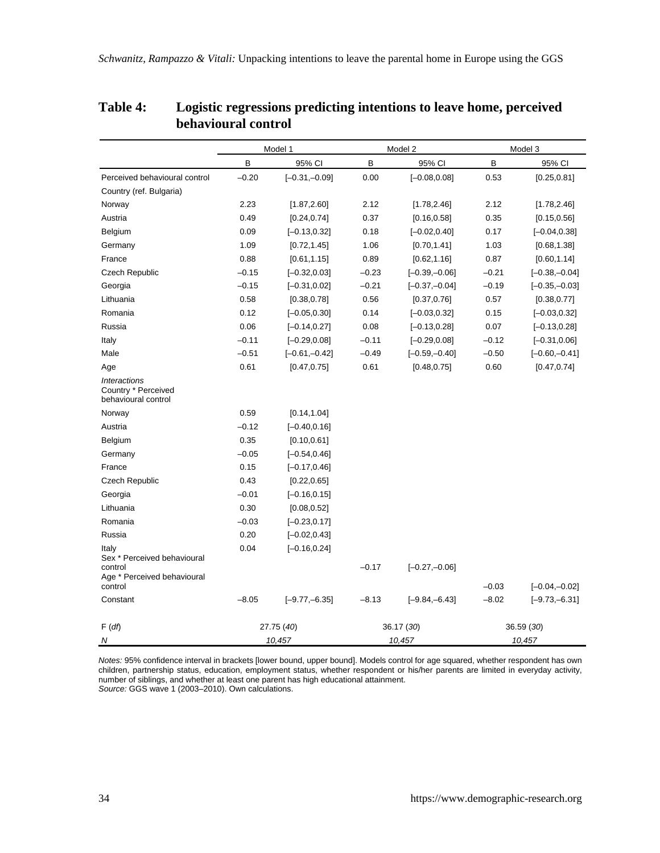|                                                                   |         | Model 1          |         | Model 2          |         | Model 3         |
|-------------------------------------------------------------------|---------|------------------|---------|------------------|---------|-----------------|
|                                                                   | B       | 95% CI           | B       | 95% CI           | B       | 95% CI          |
| Perceived behavioural control                                     | $-0.20$ | $[-0.31,-0.09]$  | 0.00    | $[-0.08, 0.08]$  | 0.53    | [0.25, 0.81]    |
| Country (ref. Bulgaria)                                           |         |                  |         |                  |         |                 |
| Norway                                                            | 2.23    | [1.87, 2.60]     | 2.12    | [1.78, 2.46]     | 2.12    | [1.78, 2.46]    |
| Austria                                                           | 0.49    | [0.24, 0.74]     | 0.37    | [0.16, 0.58]     | 0.35    | [0.15, 0.56]    |
| Belgium                                                           | 0.09    | $[-0.13, 0.32]$  | 0.18    | $[-0.02, 0.40]$  | 0.17    | $[-0.04, 0.38]$ |
| Germany                                                           | 1.09    | [0.72, 1.45]     | 1.06    | [0.70, 1.41]     | 1.03    | [0.68, 1.38]    |
| France                                                            | 0.88    | [0.61, 1.15]     | 0.89    | [0.62, 1.16]     | 0.87    | [0.60, 1.14]    |
| <b>Czech Republic</b>                                             | $-0.15$ | $[-0.32, 0.03]$  | $-0.23$ | $[-0.39,-0.06]$  | $-0.21$ | $[-0.38,-0.04]$ |
| Georgia                                                           | $-0.15$ | $[-0.31, 0.02]$  | $-0.21$ | $[-0.37,-0.04]$  | $-0.19$ | $[-0.35,-0.03]$ |
| Lithuania                                                         | 0.58    | [0.38, 0.78]     | 0.56    | [0.37, 0.76]     | 0.57    | [0.38, 0.77]    |
| Romania                                                           | 0.12    | $[-0.05, 0.30]$  | 0.14    | $[-0.03, 0.32]$  | 0.15    | $[-0.03, 0.32]$ |
| Russia                                                            | 0.06    | $[-0.14, 0.27]$  | 0.08    | $[-0.13, 0.28]$  | 0.07    | $[-0.13, 0.28]$ |
| Italy                                                             | $-0.11$ | $[-0.29, 0.08]$  | $-0.11$ | $[-0.29, 0.08]$  | $-0.12$ | $[-0.31, 0.06]$ |
| Male                                                              | $-0.51$ | $[-0.61,-0.42]$  | $-0.49$ | $[-0.59,-0.40]$  | $-0.50$ | $[-0.60,-0.41]$ |
| Age                                                               | 0.61    | [0.47, 0.75]     | 0.61    | [0.48, 0.75]     | 0.60    | [0.47, 0.74]    |
| <b>Interactions</b><br>Country * Perceived<br>behavioural control |         |                  |         |                  |         |                 |
| Norway                                                            | 0.59    | [0.14, 1.04]     |         |                  |         |                 |
| Austria                                                           | $-0.12$ | $[-0.40, 0.16]$  |         |                  |         |                 |
| Belgium                                                           | 0.35    | [0.10, 0.61]     |         |                  |         |                 |
| Germany                                                           | $-0.05$ | $[-0.54, 0.46]$  |         |                  |         |                 |
| France                                                            | 0.15    | $[-0.17, 0.46]$  |         |                  |         |                 |
| Czech Republic                                                    | 0.43    | [0.22, 0.65]     |         |                  |         |                 |
| Georgia                                                           | $-0.01$ | $[-0.16, 0.15]$  |         |                  |         |                 |
| Lithuania                                                         | 0.30    | [0.08, 0.52]     |         |                  |         |                 |
| Romania                                                           | $-0.03$ | $[-0.23, 0.17]$  |         |                  |         |                 |
| Russia                                                            | 0.20    | $[-0.02, 0.43]$  |         |                  |         |                 |
| Italy<br>Sex * Perceived behavioural                              | 0.04    | $[-0.16, 0.24]$  |         |                  |         |                 |
| control<br>Age * Perceived behavioural<br>control                 |         |                  | $-0.17$ | $[-0.27,-0.06]$  | $-0.03$ | $[-0.04,-0.02]$ |
| Constant                                                          | $-8.05$ | $[-9.77, -6.35]$ | $-8.13$ | $[-9.84, -6.43]$ | $-8.02$ | $[-9.73,-6.31]$ |
| F(df)                                                             |         | 27.75 (40)       |         | 36.17 (30)       |         | 36.59 (30)      |
| N                                                                 |         | 10,457           |         | 10,457           |         | 10,457          |

### **Table 4: Logistic regressions predicting intentions to leave home, perceived behavioural control**

*Notes:* 95% confidence interval in brackets [lower bound, upper bound]. Models control for age squared, whether respondent has own<br>children, partnership status, education, employment status, whether respondent or his/her number of siblings, and whether at least one parent has high educational attainment. *Source:* GGS wave 1 (2003–2010). Own calculations.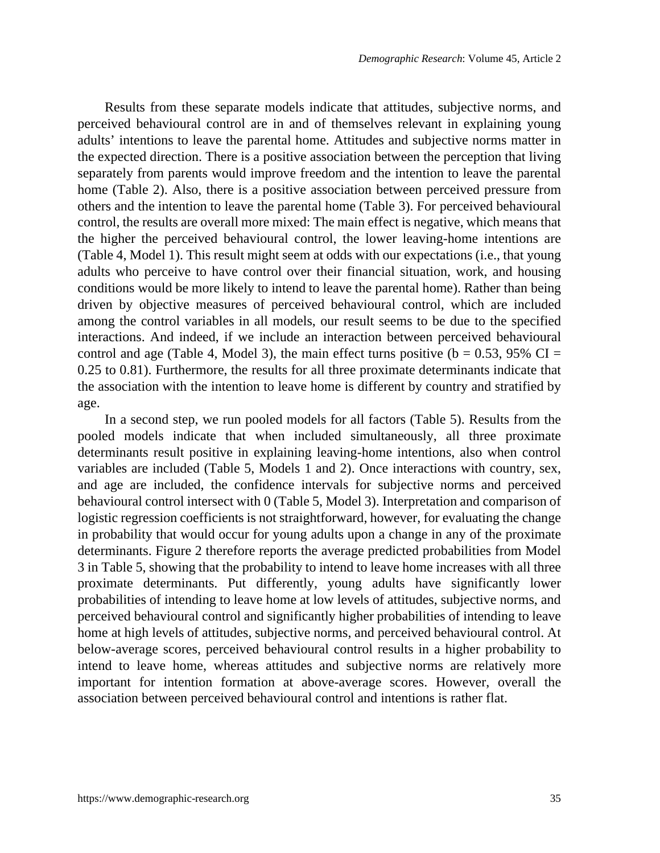Results from these separate models indicate that attitudes, subjective norms, and perceived behavioural control are in and of themselves relevant in explaining young adults' intentions to leave the parental home. Attitudes and subjective norms matter in the expected direction. There is a positive association between the perception that living separately from parents would improve freedom and the intention to leave the parental home (Table 2). Also, there is a positive association between perceived pressure from others and the intention to leave the parental home (Table 3). For perceived behavioural control, the results are overall more mixed: The main effect is negative, which means that the higher the perceived behavioural control, the lower leaving-home intentions are (Table 4, Model 1). This result might seem at odds with our expectations (i.e., that young adults who perceive to have control over their financial situation, work, and housing conditions would be more likely to intend to leave the parental home). Rather than being driven by objective measures of perceived behavioural control, which are included among the control variables in all models, our result seems to be due to the specified interactions. And indeed, if we include an interaction between perceived behavioural control and age (Table 4, Model 3), the main effect turns positive ( $b = 0.53$ , 95% CI = 0.25 to 0.81). Furthermore, the results for all three proximate determinants indicate that the association with the intention to leave home is different by country and stratified by age.

In a second step, we run pooled models for all factors (Table 5). Results from the pooled models indicate that when included simultaneously, all three proximate determinants result positive in explaining leaving-home intentions, also when control variables are included (Table 5, Models 1 and 2). Once interactions with country, sex, and age are included, the confidence intervals for subjective norms and perceived behavioural control intersect with 0 (Table 5, Model 3). Interpretation and comparison of logistic regression coefficients is not straightforward, however, for evaluating the change in probability that would occur for young adults upon a change in any of the proximate determinants. Figure 2 therefore reports the average predicted probabilities from Model 3 in Table 5, showing that the probability to intend to leave home increases with all three proximate determinants. Put differently, young adults have significantly lower probabilities of intending to leave home at low levels of attitudes, subjective norms, and perceived behavioural control and significantly higher probabilities of intending to leave home at high levels of attitudes, subjective norms, and perceived behavioural control. At below-average scores, perceived behavioural control results in a higher probability to intend to leave home, whereas attitudes and subjective norms are relatively more important for intention formation at above-average scores. However, overall the association between perceived behavioural control and intentions is rather flat.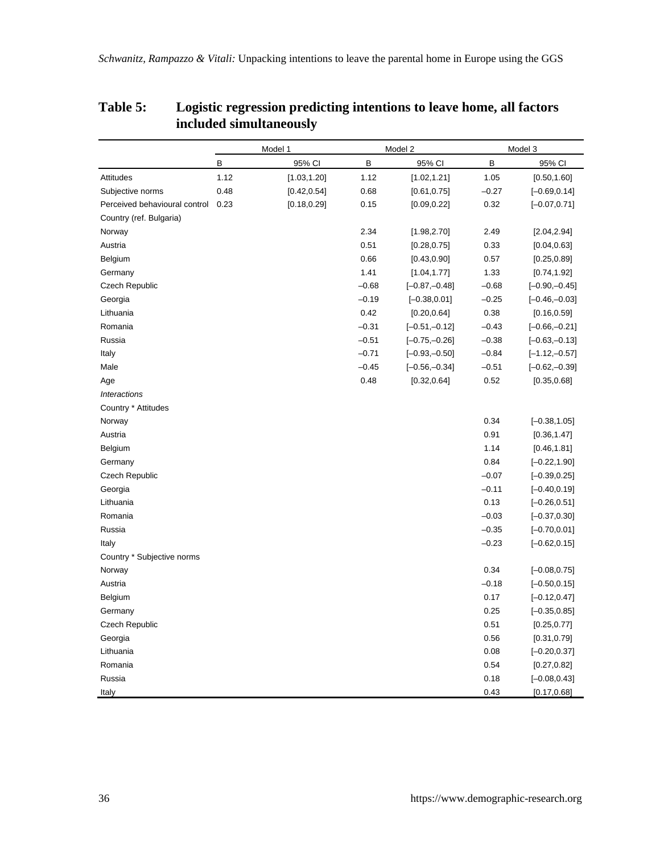|                                    |      | Model 1      |         | Model 2         |         | Model 3         |
|------------------------------------|------|--------------|---------|-----------------|---------|-----------------|
|                                    | B    | 95% CI       | B       | 95% CI          | B       | 95% CI          |
| Attitudes                          | 1.12 | [1.03, 1.20] | 1.12    | [1.02, 1.21]    | 1.05    | [0.50, 1.60]    |
| Subjective norms                   | 0.48 | [0.42, 0.54] | 0.68    | [0.61, 0.75]    | $-0.27$ | $[-0.69, 0.14]$ |
| Perceived behavioural control 0.23 |      | [0.18, 0.29] | 0.15    | [0.09, 0.22]    | 0.32    | $[-0.07, 0.71]$ |
| Country (ref. Bulgaria)            |      |              |         |                 |         |                 |
| Norway                             |      |              | 2.34    | [1.98, 2.70]    | 2.49    | [2.04, 2.94]    |
| Austria                            |      |              | 0.51    | [0.28, 0.75]    | 0.33    | [0.04, 0.63]    |
| Belgium                            |      |              | 0.66    | [0.43, 0.90]    | 0.57    | [0.25, 0.89]    |
| Germany                            |      |              | 1.41    | [1.04, 1.77]    | 1.33    | [0.74, 1.92]    |
| Czech Republic                     |      |              | $-0.68$ | $[-0.87,-0.48]$ | $-0.68$ | $[-0.90,-0.45]$ |
| Georgia                            |      |              | $-0.19$ | $[-0.38, 0.01]$ | $-0.25$ | $[-0.46,-0.03]$ |
| Lithuania                          |      |              | 0.42    | [0.20, 0.64]    | 0.38    | [0.16, 0.59]    |
| Romania                            |      |              | $-0.31$ | $[-0.51,-0.12]$ | $-0.43$ | $[-0.66,-0.21]$ |
| Russia                             |      |              | $-0.51$ | $[-0.75,-0.26]$ | $-0.38$ | $[-0.63,-0.13]$ |
| Italy                              |      |              | $-0.71$ | $[-0.93,-0.50]$ | $-0.84$ | $[-1.12,-0.57]$ |
| Male                               |      |              | $-0.45$ | $[-0.56,-0.34]$ | $-0.51$ | $[-0.62,-0.39]$ |
| Age                                |      |              | 0.48    | [0.32, 0.64]    | 0.52    | [0.35, 0.68]    |
| <b>Interactions</b>                |      |              |         |                 |         |                 |
| Country * Attitudes                |      |              |         |                 |         |                 |
| Norway                             |      |              |         |                 | 0.34    | $[-0.38, 1.05]$ |
| Austria                            |      |              |         |                 | 0.91    | [0.36, 1.47]    |
| Belgium                            |      |              |         |                 | 1.14    | [0.46, 1.81]    |
| Germany                            |      |              |         |                 | 0.84    | $[-0.22, 1.90]$ |
| Czech Republic                     |      |              |         |                 | $-0.07$ | $[-0.39, 0.25]$ |
| Georgia                            |      |              |         |                 | $-0.11$ | $[-0.40, 0.19]$ |
| Lithuania                          |      |              |         |                 | 0.13    | $[-0.26, 0.51]$ |
| Romania                            |      |              |         |                 | $-0.03$ | $[-0.37, 0.30]$ |
| Russia                             |      |              |         |                 | $-0.35$ | $[-0.70, 0.01]$ |
| Italy                              |      |              |         |                 | $-0.23$ | $[-0.62, 0.15]$ |
| Country * Subjective norms         |      |              |         |                 |         |                 |
| Norway                             |      |              |         |                 | 0.34    | $[-0.08, 0.75]$ |
| Austria                            |      |              |         |                 | $-0.18$ | $[-0.50, 0.15]$ |
| Belgium                            |      |              |         |                 | 0.17    | $[-0.12, 0.47]$ |
| Germany                            |      |              |         |                 | 0.25    | $[-0.35, 0.85]$ |
| Czech Republic                     |      |              |         |                 | 0.51    | [0.25, 0.77]    |
| Georgia                            |      |              |         |                 | 0.56    | [0.31, 0.79]    |
| Lithuania                          |      |              |         |                 | 0.08    | $[-0.20, 0.37]$ |
| Romania                            |      |              |         |                 | 0.54    | [0.27, 0.82]    |
| Russia                             |      |              |         |                 | 0.18    | $[-0.08, 0.43]$ |
| Italy                              |      |              |         |                 | 0.43    | [0.17, 0.68]    |

## **Table 5: Logistic regression predicting intentions to leave home, all factors included simultaneously**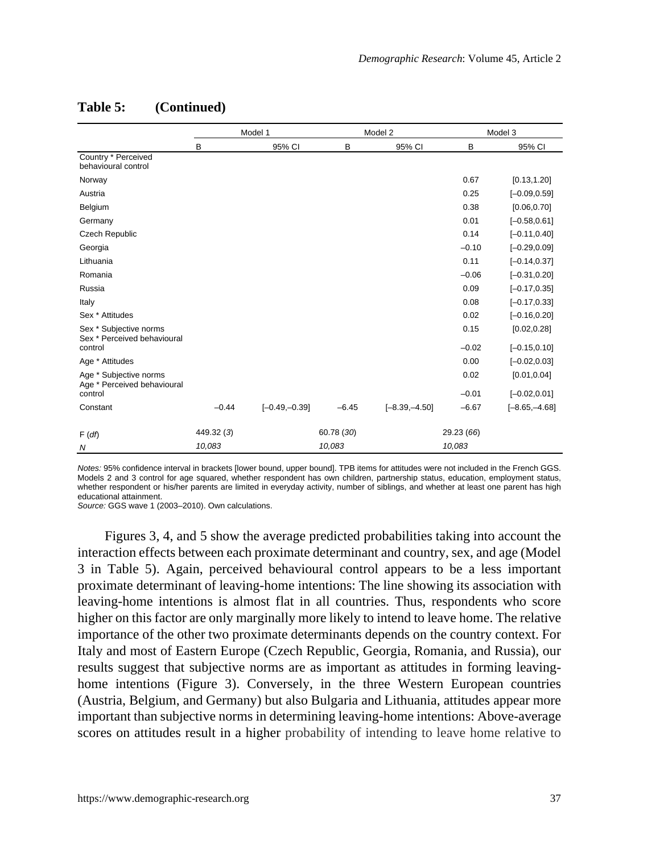|                                                                  |            | Model 1         |            | Model 2         |                 | Model 3                         |
|------------------------------------------------------------------|------------|-----------------|------------|-----------------|-----------------|---------------------------------|
|                                                                  | B          | 95% CI          | B          | 95% CI          | B               | 95% CI                          |
| Country * Perceived<br>behavioural control                       |            |                 |            |                 |                 |                                 |
| Norway                                                           |            |                 |            |                 | 0.67            | [0.13, 1.20]                    |
| Austria                                                          |            |                 |            |                 | 0.25            | $[-0.09, 0.59]$                 |
| Belgium                                                          |            |                 |            |                 | 0.38            | [0.06, 0.70]                    |
| Germany                                                          |            |                 |            |                 | 0.01            | $[-0.58, 0.61]$                 |
| <b>Czech Republic</b>                                            |            |                 |            |                 | 0.14            | $[-0.11, 0.40]$                 |
| Georgia                                                          |            |                 |            |                 | $-0.10$         | $[-0.29, 0.09]$                 |
| Lithuania                                                        |            |                 |            |                 | 0.11            | $[-0.14, 0.37]$                 |
| Romania                                                          |            |                 |            |                 | $-0.06$         | $[-0.31, 0.20]$                 |
| Russia                                                           |            |                 |            |                 | 0.09            | $[-0.17, 0.35]$                 |
| Italy                                                            |            |                 |            |                 | 0.08            | $[-0.17, 0.33]$                 |
| Sex * Attitudes                                                  |            |                 |            |                 | 0.02            | $[-0.16, 0.20]$                 |
| Sex * Subjective norms<br>Sex * Perceived behavioural<br>control |            |                 |            |                 | 0.15<br>$-0.02$ | [0.02, 0.28]<br>$[-0.15, 0.10]$ |
| Age * Attitudes                                                  |            |                 |            |                 | 0.00            | $[-0.02, 0.03]$                 |
| Age * Subjective norms<br>Age * Perceived behavioural            |            |                 |            |                 | 0.02            | [0.01, 0.04]                    |
| control                                                          |            |                 |            |                 | $-0.01$         | $[-0.02, 0.01]$                 |
| Constant                                                         | $-0.44$    | $[-0.49,-0.39]$ | $-6.45$    | $[-8.39,-4.50]$ | $-6.67$         | $[-8.65, -4.68]$                |
| F(df)                                                            | 449.32 (3) |                 | 60.78 (30) |                 | 29.23 (66)      |                                 |
| N                                                                | 10,083     |                 | 10,083     |                 | 10,083          |                                 |

#### **Table 5: (Continued)**

*Notes:* 95% confidence interval in brackets [lower bound, upper bound]. TPB items for attitudes were not included in the French GGS. Models 2 and 3 control for age squared, whether respondent has own children, partnership status, education, employment status, whether respondent or his/her parents are limited in everyday activity, number of siblings, and whether at least one parent has high educational attainment.

*Source:* GGS wave 1 (2003–2010). Own calculations.

Figures 3, 4, and 5 show the average predicted probabilities taking into account the interaction effects between each proximate determinant and country, sex, and age (Model 3 in Table 5). Again, perceived behavioural control appears to be a less important proximate determinant of leaving-home intentions: The line showing its association with leaving-home intentions is almost flat in all countries. Thus, respondents who score higher on this factor are only marginally more likely to intend to leave home. The relative importance of the other two proximate determinants depends on the country context. For Italy and most of Eastern Europe (Czech Republic, Georgia, Romania, and Russia), our results suggest that subjective norms are as important as attitudes in forming leavinghome intentions (Figure 3). Conversely, in the three Western European countries (Austria, Belgium, and Germany) but also Bulgaria and Lithuania, attitudes appear more important than subjective norms in determining leaving-home intentions: Above-average scores on attitudes result in a higher probability of intending to leave home relative to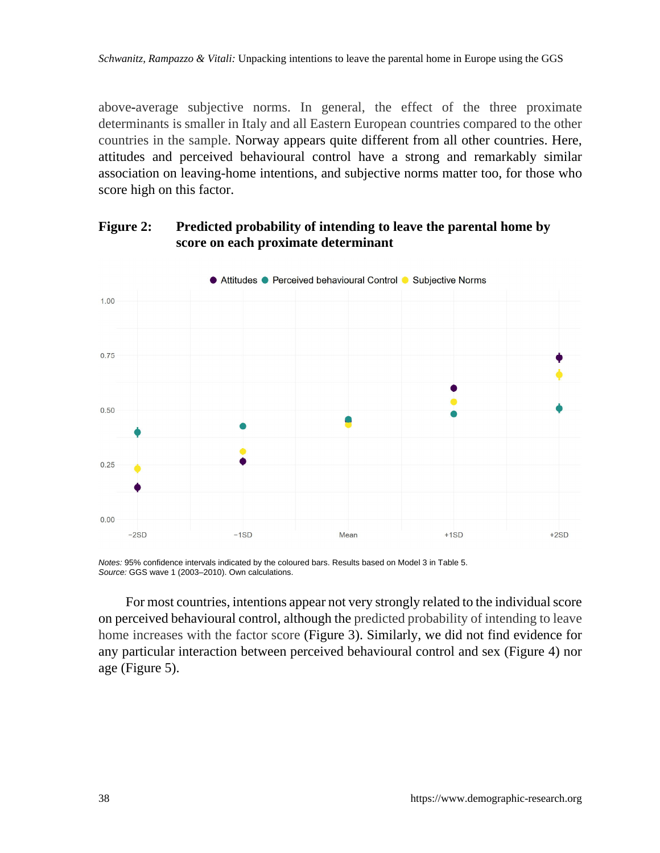above-average subjective norms. In general, the effect of the three proximate determinants is smaller in Italy and all Eastern European countries compared to the other countries in the sample. Norway appears quite different from all other countries. Here, attitudes and perceived behavioural control have a strong and remarkably similar association on leaving-home intentions, and subjective norms matter too, for those who score high on this factor.



### **Figure 2: Predicted probability of intending to leave the parental home by score on each proximate determinant**

*Notes:* 95% confidence intervals indicated by the coloured bars. Results based on Model 3 in Table 5. *Source:* GGS wave 1 (2003–2010). Own calculations.

For most countries, intentions appear not very strongly related to the individual score on perceived behavioural control, although the predicted probability of intending to leave home increases with the factor score (Figure 3). Similarly, we did not find evidence for any particular interaction between perceived behavioural control and sex (Figure 4) nor age (Figure 5).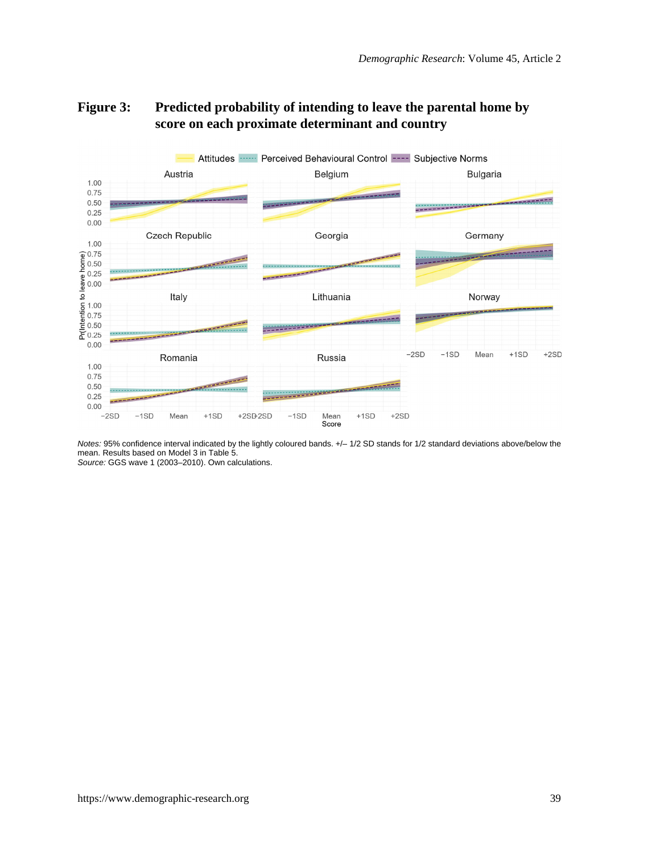

### **Figure 3: Predicted probability of intending to leave the parental home by score on each proximate determinant and country**

*Notes:* 95% confidence interval indicated by the lightly coloured bands. +/– 1/2 SD stands for 1/2 standard deviations above/below the mean. Results based on Model 3 in Table 5. *Source:* GGS wave 1 (2003–2010). Own calculations.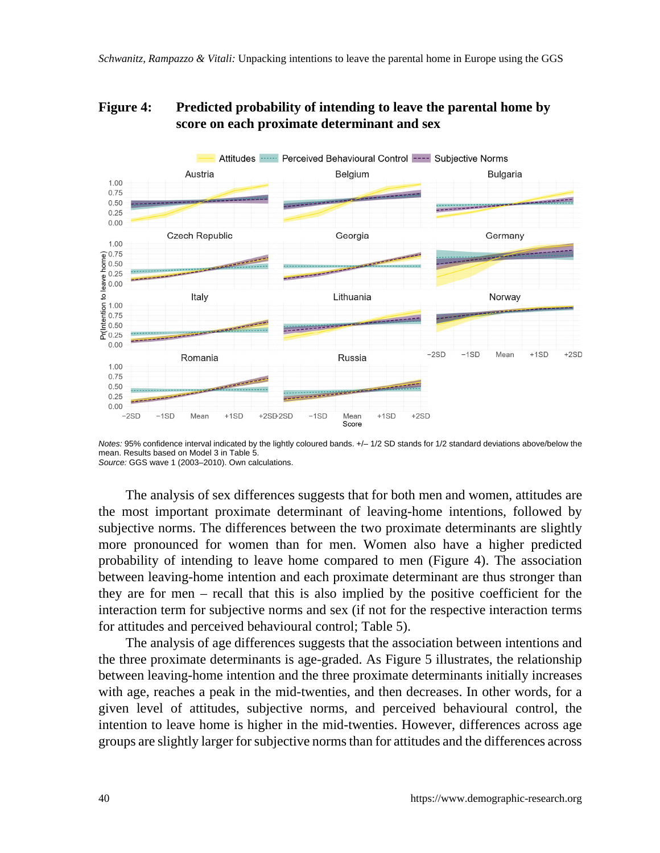### **Figure 4: Predicted probability of intending to leave the parental home by score on each proximate determinant and sex**



*Notes:* 95% confidence interval indicated by the lightly coloured bands.  $+/-1/2$  SD stands for 1/2 standard deviations above/below the mean. Results based on Model 3 in Table 5. *Source:* GGS wave 1 (2003–2010). Own calculations.

The analysis of sex differences suggests that for both men and women, attitudes are the most important proximate determinant of leaving-home intentions, followed by subjective norms. The differences between the two proximate determinants are slightly more pronounced for women than for men. Women also have a higher predicted probability of intending to leave home compared to men (Figure 4). The association between leaving-home intention and each proximate determinant are thus stronger than they are for men – recall that this is also implied by the positive coefficient for the interaction term for subjective norms and sex (if not for the respective interaction terms for attitudes and perceived behavioural control; Table 5).

The analysis of age differences suggests that the association between intentions and the three proximate determinants is age-graded. As Figure 5 illustrates, the relationship between leaving-home intention and the three proximate determinants initially increases with age, reaches a peak in the mid-twenties, and then decreases. In other words, for a given level of attitudes, subjective norms, and perceived behavioural control, the intention to leave home is higher in the mid-twenties. However, differences across age groups are slightly larger for subjective norms than for attitudes and the differences across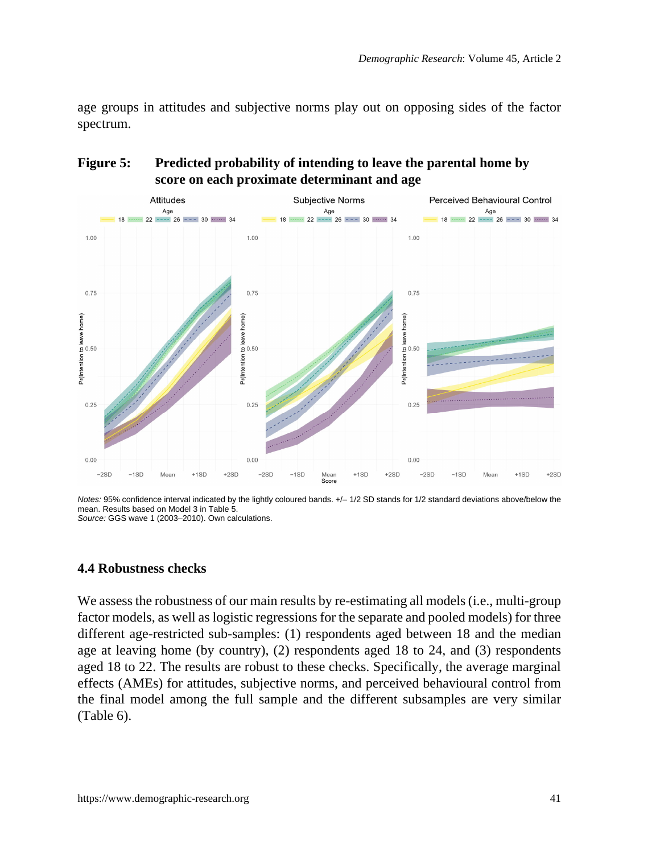age groups in attitudes and subjective norms play out on opposing sides of the factor spectrum.

### **Figure 5: Predicted probability of intending to leave the parental home by score on each proximate determinant and age**



*Notes:* 95% confidence interval indicated by the lightly coloured bands.  $+/-1/2$  SD stands for 1/2 standard deviations above/below the mean. Results based on Model 3 in Table 5. *Source:* GGS wave 1 (2003–2010). Own calculations.

#### **4.4 Robustness checks**

We assess the robustness of our main results by re-estimating all models (i.e., multi-group factor models, as well as logistic regressions for the separate and pooled models) for three different age-restricted sub-samples: (1) respondents aged between 18 and the median age at leaving home (by country), (2) respondents aged 18 to 24, and (3) respondents aged 18 to 22. The results are robust to these checks. Specifically, the average marginal effects (AMEs) for attitudes, subjective norms, and perceived behavioural control from the final model among the full sample and the different subsamples are very similar (Table 6).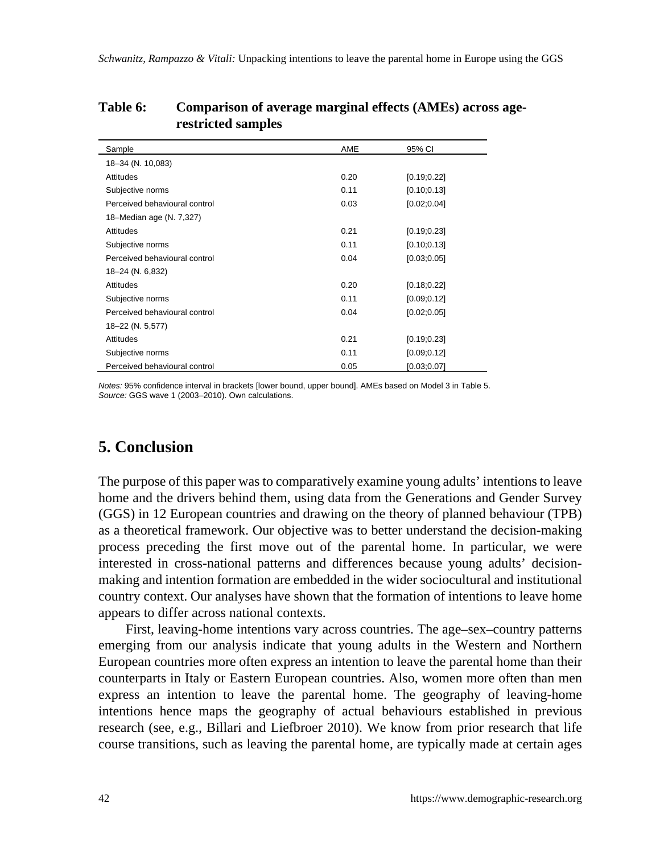| Sample                        | AME  | 95% CI       |
|-------------------------------|------|--------------|
| 18-34 (N. 10,083)             |      |              |
| Attitudes                     | 0.20 | [0.19; 0.22] |
| Subjective norms              | 0.11 | [0.10; 0.13] |
| Perceived behavioural control | 0.03 | [0.02; 0.04] |
| 18-Median age (N. 7,327)      |      |              |
| Attitudes                     | 0.21 | [0.19; 0.23] |
| Subjective norms              | 0.11 | [0.10; 0.13] |
| Perceived behavioural control | 0.04 | [0.03; 0.05] |
| 18-24 (N. 6,832)              |      |              |
| Attitudes                     | 0.20 | [0.18; 0.22] |
| Subjective norms              | 0.11 | [0.09; 0.12] |
| Perceived behavioural control | 0.04 | [0.02; 0.05] |
| 18-22 (N. 5,577)              |      |              |
| <b>Attitudes</b>              | 0.21 | [0.19; 0.23] |
| Subjective norms              | 0.11 | [0.09; 0.12] |
| Perceived behavioural control | 0.05 | [0.03;0.07]  |

#### **Table 6: Comparison of average marginal effects (AMEs) across agerestricted samples**

*Notes:* 95% confidence interval in brackets [lower bound, upper bound]. AMEs based on Model 3 in Table 5. *Source:* GGS wave 1 (2003–2010). Own calculations.

# **5. Conclusion**

The purpose of this paper was to comparatively examine young adults' intentions to leave home and the drivers behind them, using data from the Generations and Gender Survey (GGS) in 12 European countries and drawing on the theory of planned behaviour (TPB) as a theoretical framework. Our objective was to better understand the decision-making process preceding the first move out of the parental home. In particular, we were interested in cross-national patterns and differences because young adults' decisionmaking and intention formation are embedded in the wider sociocultural and institutional country context. Our analyses have shown that the formation of intentions to leave home appears to differ across national contexts.

First, leaving-home intentions vary across countries. The age–sex–country patterns emerging from our analysis indicate that young adults in the Western and Northern European countries more often express an intention to leave the parental home than their counterparts in Italy or Eastern European countries. Also, women more often than men express an intention to leave the parental home. The geography of leaving-home intentions hence maps the geography of actual behaviours established in previous research (see, e.g., Billari and Liefbroer 2010). We know from prior research that life course transitions, such as leaving the parental home, are typically made at certain ages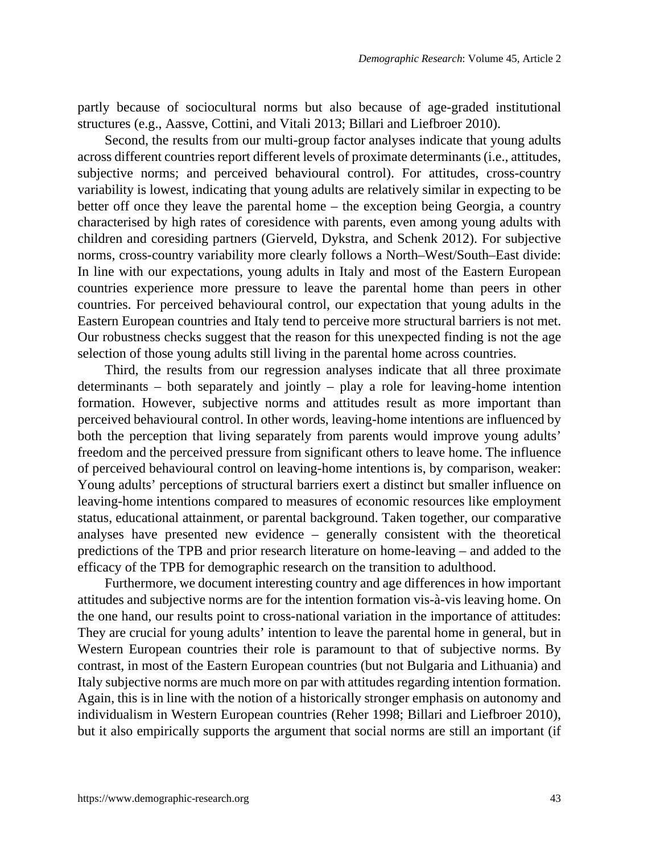partly because of sociocultural norms but also because of age-graded institutional structures (e.g., Aassve, Cottini, and Vitali 2013; Billari and Liefbroer 2010).

Second, the results from our multi-group factor analyses indicate that young adults across different countries report different levels of proximate determinants (i.e., attitudes, subjective norms; and perceived behavioural control). For attitudes, cross-country variability is lowest, indicating that young adults are relatively similar in expecting to be better off once they leave the parental home – the exception being Georgia, a country characterised by high rates of coresidence with parents, even among young adults with children and coresiding partners (Gierveld, Dykstra, and Schenk 2012). For subjective norms, cross-country variability more clearly follows a North–West/South–East divide: In line with our expectations, young adults in Italy and most of the Eastern European countries experience more pressure to leave the parental home than peers in other countries. For perceived behavioural control, our expectation that young adults in the Eastern European countries and Italy tend to perceive more structural barriers is not met. Our robustness checks suggest that the reason for this unexpected finding is not the age selection of those young adults still living in the parental home across countries.

Third, the results from our regression analyses indicate that all three proximate determinants – both separately and jointly – play a role for leaving-home intention formation. However, subjective norms and attitudes result as more important than perceived behavioural control. In other words, leaving-home intentions are influenced by both the perception that living separately from parents would improve young adults' freedom and the perceived pressure from significant others to leave home. The influence of perceived behavioural control on leaving-home intentions is, by comparison, weaker: Young adults' perceptions of structural barriers exert a distinct but smaller influence on leaving-home intentions compared to measures of economic resources like employment status, educational attainment, or parental background. Taken together, our comparative analyses have presented new evidence – generally consistent with the theoretical predictions of the TPB and prior research literature on home-leaving – and added to the efficacy of the TPB for demographic research on the transition to adulthood.

Furthermore, we document interesting country and age differences in how important attitudes and subjective norms are for the intention formation vis-à-vis leaving home. On the one hand, our results point to cross-national variation in the importance of attitudes: They are crucial for young adults' intention to leave the parental home in general, but in Western European countries their role is paramount to that of subjective norms. By contrast, in most of the Eastern European countries (but not Bulgaria and Lithuania) and Italy subjective norms are much more on par with attitudes regarding intention formation. Again, this is in line with the notion of a historically stronger emphasis on autonomy and individualism in Western European countries (Reher 1998; Billari and Liefbroer 2010), but it also empirically supports the argument that social norms are still an important (if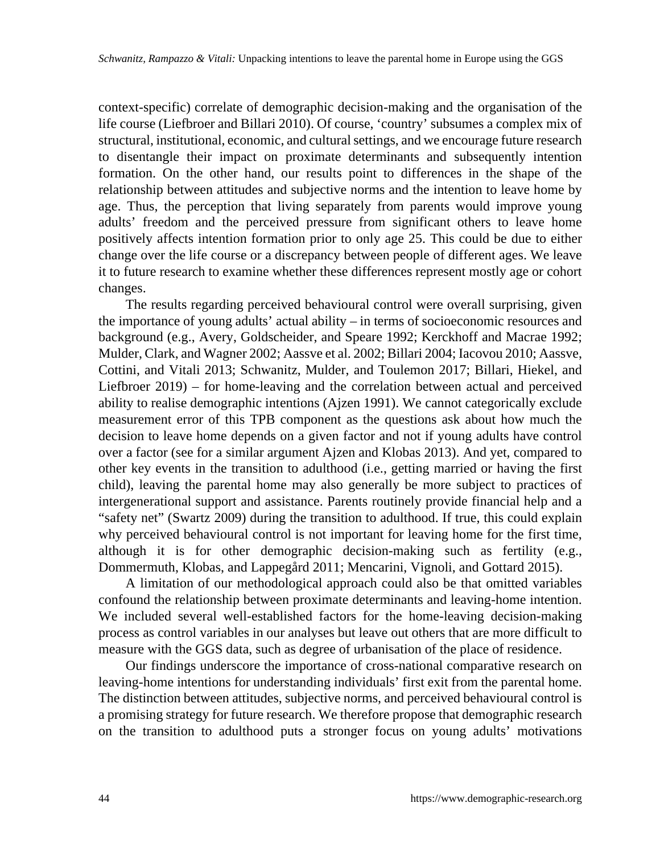context-specific) correlate of demographic decision-making and the organisation of the life course (Liefbroer and Billari 2010). Of course, 'country' subsumes a complex mix of structural, institutional, economic, and cultural settings, and we encourage future research to disentangle their impact on proximate determinants and subsequently intention formation. On the other hand, our results point to differences in the shape of the relationship between attitudes and subjective norms and the intention to leave home by age. Thus, the perception that living separately from parents would improve young adults' freedom and the perceived pressure from significant others to leave home positively affects intention formation prior to only age 25. This could be due to either change over the life course or a discrepancy between people of different ages. We leave it to future research to examine whether these differences represent mostly age or cohort changes.

The results regarding perceived behavioural control were overall surprising, given the importance of young adults' actual ability – in terms of socioeconomic resources and background (e.g., Avery, Goldscheider, and Speare 1992; Kerckhoff and Macrae 1992; Mulder, Clark, and Wagner 2002; Aassve et al. 2002; Billari 2004; Iacovou 2010; Aassve, Cottini, and Vitali 2013; Schwanitz, Mulder, and Toulemon 2017; Billari, Hiekel, and Liefbroer 2019) – for home-leaving and the correlation between actual and perceived ability to realise demographic intentions (Ajzen 1991). We cannot categorically exclude measurement error of this TPB component as the questions ask about how much the decision to leave home depends on a given factor and not if young adults have control over a factor (see for a similar argument Ajzen and Klobas 2013). And yet, compared to other key events in the transition to adulthood (i.e., getting married or having the first child), leaving the parental home may also generally be more subject to practices of intergenerational support and assistance. Parents routinely provide financial help and a "safety net" (Swartz 2009) during the transition to adulthood. If true, this could explain why perceived behavioural control is not important for leaving home for the first time, although it is for other demographic decision-making such as fertility (e.g., Dommermuth, Klobas, and Lappegård 2011; Mencarini, Vignoli, and Gottard 2015).

A limitation of our methodological approach could also be that omitted variables confound the relationship between proximate determinants and leaving-home intention. We included several well-established factors for the home-leaving decision-making process as control variables in our analyses but leave out others that are more difficult to measure with the GGS data, such as degree of urbanisation of the place of residence.

Our findings underscore the importance of cross-national comparative research on leaving-home intentions for understanding individuals' first exit from the parental home. The distinction between attitudes, subjective norms, and perceived behavioural control is a promising strategy for future research. We therefore propose that demographic research on the transition to adulthood puts a stronger focus on young adults' motivations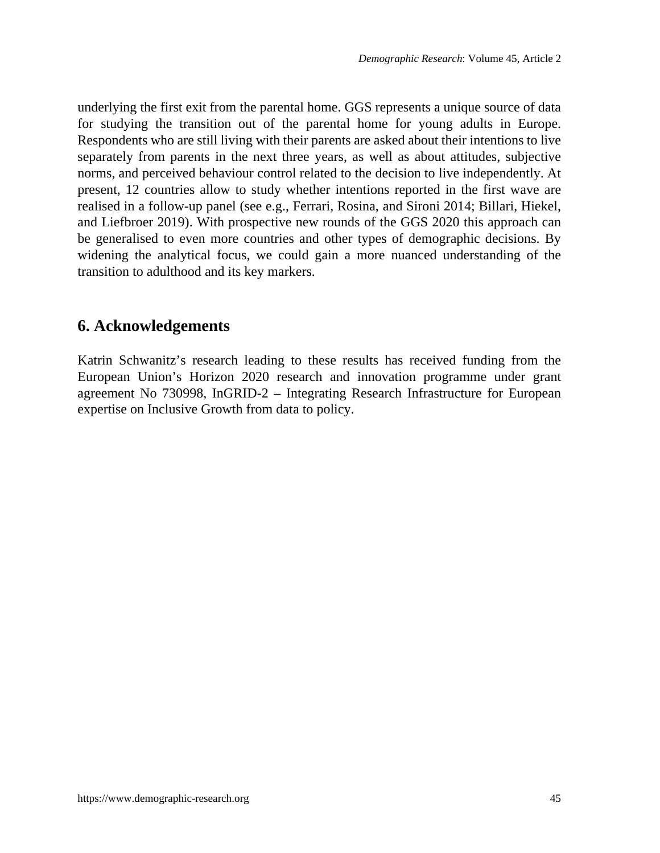underlying the first exit from the parental home. GGS represents a unique source of data for studying the transition out of the parental home for young adults in Europe. Respondents who are still living with their parents are asked about their intentions to live separately from parents in the next three years, as well as about attitudes, subjective norms, and perceived behaviour control related to the decision to live independently. At present, 12 countries allow to study whether intentions reported in the first wave are realised in a follow-up panel (see e.g., Ferrari, Rosina, and Sironi 2014; Billari, Hiekel, and Liefbroer 2019). With prospective new rounds of the GGS 2020 this approach can be generalised to even more countries and other types of demographic decisions. By widening the analytical focus, we could gain a more nuanced understanding of the transition to adulthood and its key markers.

## **6. Acknowledgements**

Katrin Schwanitz's research leading to these results has received funding from the European Union's Horizon 2020 research and innovation programme under grant agreement No 730998, InGRID-2 – Integrating Research Infrastructure for European expertise on Inclusive Growth from data to policy.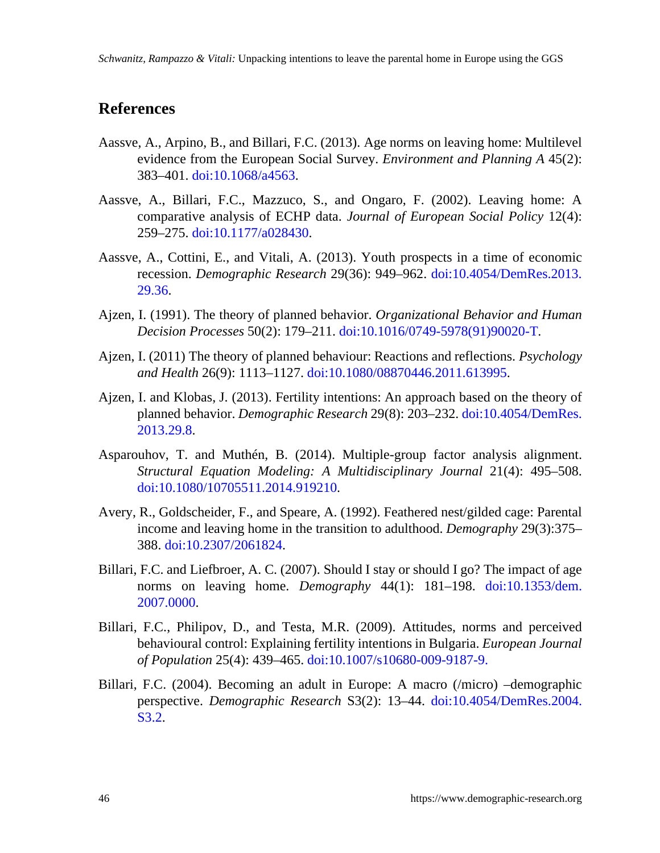## **References**

- Aassve, A., Arpino, B., and Billari, F.C. (2013). Age norms on leaving home: Multilevel evidence from the European Social Survey. *Environment and Planning A* 45(2): 383–401. [doi:10.1068/a4563](https://doi.org/10.1068/a4563).
- Aassve, A., Billari, F.C., Mazzuco, S., and Ongaro, F. (2002). Leaving home: A comparative analysis of ECHP data. *Journal of European Social Policy* 12(4): 259–275. [doi:10.1177/a028430.](https://doi.org/10.1177/a028430)
- Aassve, A., Cottini, E., and Vitali, A. (2013). Youth prospects in a time of economic recession. *Demographic Research* 29(36): 949–962. [doi:10.4054/DemRes.2013.](https://doi.org/10.4054/DemRes.2013.29.36) [29.36.](https://doi.org/10.4054/DemRes.2013.29.36)
- Ajzen, I. (1991). The theory of planned behavior. *Organizational Behavior and Human Decision Processes* 50(2): 179–211. [doi:10.1016/0749-5978\(91\)90020-T](https://doi.org/10.1016/0749-5978(91)90020-T).
- Ajzen, I. (2011) The theory of planned behaviour: Reactions and reflections. *Psychology and Health* 26(9): 1113–1127. [doi:10.1080/08870446.2011.613995](https://doi.org/10.1080/08870446.2011.613995).
- Ajzen, I. and Klobas, J. (2013). Fertility intentions: An approach based on the theory of planned behavior. *Demographic Research* 29(8): 203–232. [doi:10.4054/DemRes.](https://doi.org/10.4054/DemRes.2013.29.8) [2013.29.8](https://doi.org/10.4054/DemRes.2013.29.8).
- Asparouhov, T. and Muthén, B. (2014). Multiple-group factor analysis alignment. *Structural Equation Modeling: A Multidisciplinary Journal* 21(4): 495–508. [doi:10.1080/10705511.2014.919210](https://doi.org/10.1080/10705511.2014.919210).
- Avery, R., Goldscheider, F., and Speare, A. (1992). Feathered nest/gilded cage: Parental income and leaving home in the transition to adulthood. *Demography* 29(3):375– 388. [doi:10.2307/2061824](https://doi.org/10.2307/2061824).
- Billari, F.C. and Liefbroer, A. C. (2007). Should I stay or should I go? The impact of age norms on leaving home. *Demography* 44(1): 181–198. [doi:10.1353/dem.](https://doi.org/10.1353/dem.2007.0000) [2007.0000](https://doi.org/10.1353/dem.2007.0000).
- Billari, F.C., Philipov, D., and Testa, M.R. (2009). Attitudes, norms and perceived behavioural control: Explaining fertility intentions in Bulgaria. *European Journal of Population* 25(4): 439–465. [doi:10.1007/s10680-009-9187-9](https://doi.org/10.1007/s10680-009-9187-9).
- Billari, F.C. (2004). Becoming an adult in Europe: A macro (/micro) –demographic perspective. *Demographic Research* S3(2): 13–44. [doi:10.4054/DemRes.2004.](https://doi.org/10.4054/DemRes.2004.S3.2) [S3.2](https://doi.org/10.4054/DemRes.2004.S3.2).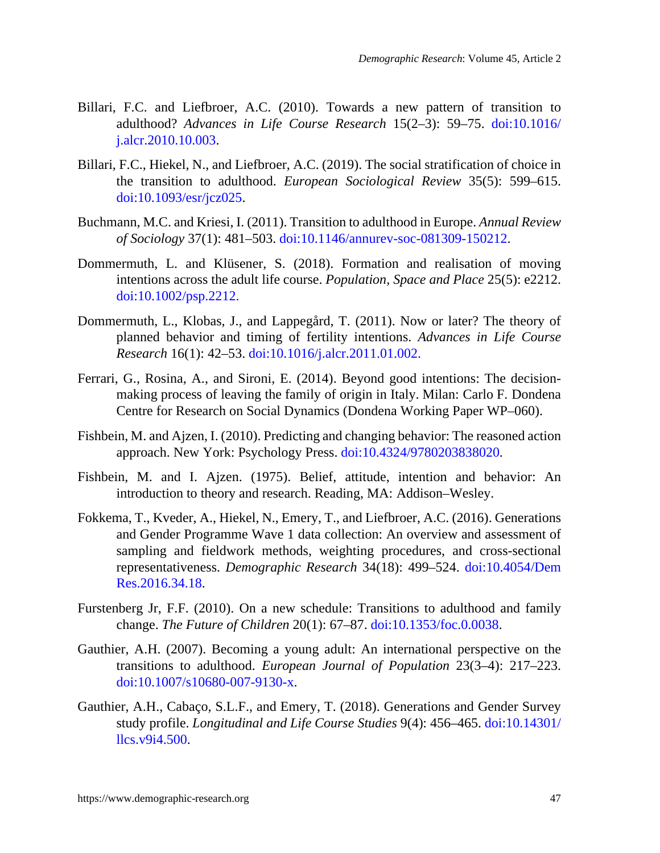- Billari, F.C. and Liefbroer, A.C. (2010). Towards a new pattern of transition to adulthood? *Advances in Life Course Research* 15(2–3): 59–75. [doi:10.1016/](https://doi.org/10.1016/j.alcr.2010.10.003) [j.alcr.2010.10.003.](https://doi.org/10.1016/j.alcr.2010.10.003)
- Billari, F.C., Hiekel, N., and Liefbroer, A.C. (2019). The social stratification of choice in the transition to adulthood. *European Sociological Review* 35(5): 599–615. doi:10.1093/esr/jcz025.
- Buchmann, M.C. and Kriesi, I. (2011). Transition to adulthood in Europe. *Annual Review of Sociology* 37(1): 481–503. [doi:10.1146/annurev-soc-081309-150212](https://doi.org/10.1146/annurev-soc-081309-150212).
- Dommermuth, L. and Klüsener, S. (2018). Formation and realisation of moving intentions across the adult life course. *Population, Space and Place* 25(5): e2212. [doi:10.1002/psp.2212](https://doi.org/10.1002/psp.2212).
- Dommermuth, L., Klobas, J., and Lappegård, T. (2011). Now or later? The theory of planned behavior and timing of fertility intentions. *Advances in Life Course Research* 16(1): 42–53. [doi:10.1016/j.alcr.2011.01.002](https://doi.org/10.1016/j.alcr.2011.01.002).
- Ferrari, G., Rosina, A., and Sironi, E. (2014). Beyond good intentions: The decisionmaking process of leaving the family of origin in Italy. Milan: Carlo F. Dondena Centre for Research on Social Dynamics (Dondena Working Paper WP–060).
- Fishbein, M. and Ajzen, I. (2010). Predicting and changing behavior: The reasoned action approach. New York: Psychology Press. [doi:10.4324/9780203838020](https://doi.org/10.4324/9780203838020).
- Fishbein, M. and I. Ajzen. (1975). Belief, attitude, intention and behavior: An introduction to theory and research. Reading, MA: Addison–Wesley.
- Fokkema, T., Kveder, A., Hiekel, N., Emery, T., and Liefbroer, A.C. (2016). Generations and Gender Programme Wave 1 data collection: An overview and assessment of sampling and fieldwork methods, weighting procedures, and cross-sectional representativeness. *Demographic Research* 34(18): 499–524. [doi:10.4054/Dem](https://doi.org/10.4054/DemRes.2016.34.18) [Res.2016.34.18.](https://doi.org/10.4054/DemRes.2016.34.18)
- Furstenberg Jr, F.F. (2010). On a new schedule: Transitions to adulthood and family change. *The Future of Children* 20(1): 67–87. [doi:10.1353/foc.0.0038](https://doi.org/10.1353/foc.0.0038).
- Gauthier, A.H. (2007). Becoming a young adult: An international perspective on the transitions to adulthood. *European Journal of Population* 23(3–4): 217–223. [doi:10.1007/s10680-007-9130-x.](https://doi.org/10.1007/s10680-007-9130-x)
- Gauthier, A.H., Cabaço, S.L.F., and Emery, T. (2018). Generations and Gender Survey study profile. *Longitudinal and Life Course Studies* 9(4): 456–465. [doi:10.14301/](https://doi.org/10.14301/llcs.v9i4.500) [llcs.v9i4.500.](https://doi.org/10.14301/llcs.v9i4.500)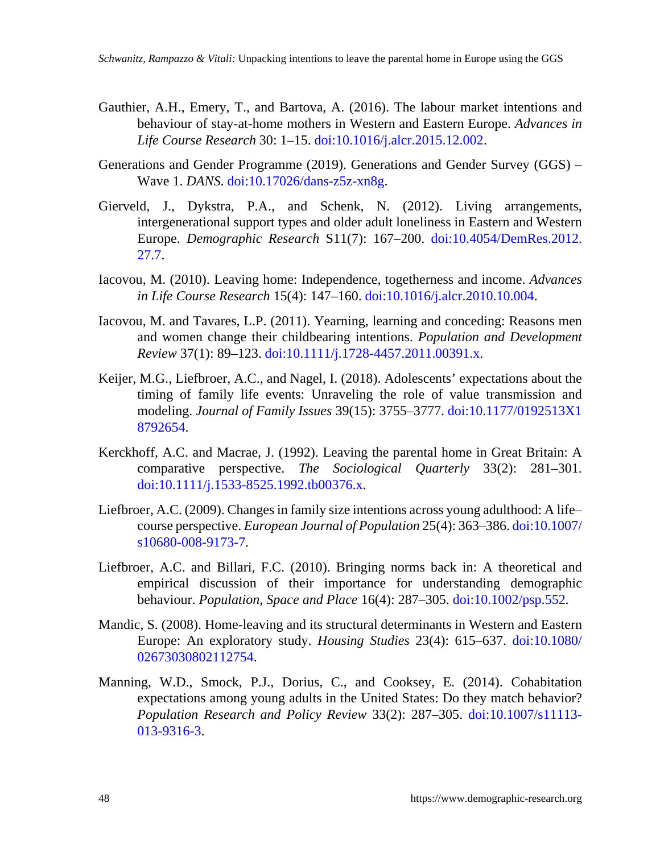- Gauthier, A.H., Emery, T., and Bartova, A. (2016). The labour market intentions and behaviour of stay-at-home mothers in Western and Eastern Europe. *Advances in Life Course Research* 30: 1–15. [doi:10.1016/j.alcr.2015.12.002](https://doi.org/10.1016/j.alcr.2015.12.002).
- Generations and Gender Programme (2019). Generations and Gender Survey (GGS) Wave 1. *DANS*. [doi:10.17026/dans-z5z-xn8g](https://doi.org/10.17026/dans-z5z-xn8g).
- Gierveld, J., Dykstra, P.A., and Schenk, N. (2012). Living arrangements, intergenerational support types and older adult loneliness in Eastern and Western Europe. *Demographic Research* S11(7): 167–200. [doi:10.4054/DemRes.2012.](https://doi.org/10.4054/DemRes.2012.27.7) [27.7.](https://doi.org/10.4054/DemRes.2012.27.7)
- Iacovou, M. (2010). Leaving home: Independence, togetherness and income. *Advances in Life Course Research* 15(4): 147–160. [doi:10.1016/j.alcr.2010.10.004](https://doi.org/10.1016/j.alcr.2010.10.004).
- Iacovou, M. and Tavares, L.P. (2011). Yearning, learning and conceding: Reasons men and women change their childbearing intentions. *Population and Development Review* 37(1): 89–123. [doi:10.1111/j.1728-4457.2011.00391.x](https://doi.org/10.1111/j.1728-4457.2011.00391.x).
- Keijer, M.G., Liefbroer, A.C., and Nagel, I. (2018). Adolescents' expectations about the timing of family life events: Unraveling the role of value transmission and modeling. *Journal of Family Issues* 39(15): 3755–3777. doi:10.1177/0192513X1 8792654.
- Kerckhoff, A.C. and Macrae, J. (1992). Leaving the parental home in Great Britain: A comparative perspective. *The Sociological Quarterly* 33(2): 281–301. [doi:10.1111/j.1533-8525.1992.tb00376.x](https://doi.org/10.1111/j.1533-8525.1992.tb00376.x).
- Liefbroer, A.C. (2009). Changes in family size intentions across young adulthood: A life– course perspective. *European Journal of Population* 25(4): 363–386. [doi:10.1007/](https://doi.org/10.1007/s10680-008-9173-7) [s10680-008-9173-7](https://doi.org/10.1007/s10680-008-9173-7).
- Liefbroer, A.C. and Billari, F.C. (2010). Bringing norms back in: A theoretical and empirical discussion of their importance for understanding demographic behaviour. *Population, Space and Place* 16(4): 287–305. [doi:10.1002/psp.552](https://doi.org/10.1002/psp.552).
- Mandic, S. (2008). Home-leaving and its structural determinants in Western and Eastern Europe: An exploratory study. *Housing Studies* 23(4): 615–637. [doi:10.1080/](https://doi.org/10.1080/02673030802112754) [02673030802112754](https://doi.org/10.1080/02673030802112754).
- Manning, W.D., Smock, P.J., Dorius, C., and Cooksey, E. (2014). Cohabitation expectations among young adults in the United States: Do they match behavior? *Population Research and Policy Review* 33(2): 287–305. [doi:10.1007/s11113-](https://doi.org/10.1007/s11113-013-9316-3) [013-9316-3](https://doi.org/10.1007/s11113-013-9316-3).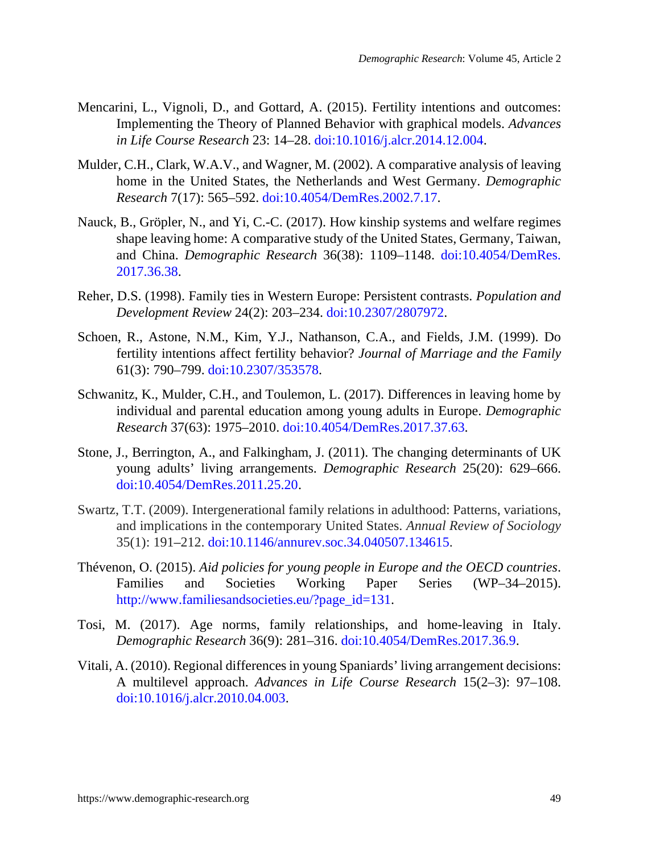- Mencarini, L., Vignoli, D., and Gottard, A. (2015). Fertility intentions and outcomes: Implementing the Theory of Planned Behavior with graphical models. *Advances in Life Course Research* 23: 14–28. [doi:10.1016/j.alcr.2014.12.004.](https://doi.org/10.1016/j.alcr.2014.12.004)
- Mulder, C.H., Clark, W.A.V., and Wagner, M. (2002). A comparative analysis of leaving home in the United States, the Netherlands and West Germany. *Demographic Research* 7(17): 565–592. [doi:10.4054/DemRes.2002.7.17.](https://doi.org/10.4054/DemRes.2002.7.17)
- Nauck, B., Gröpler, N., and Yi, C.-C. (2017). How kinship systems and welfare regimes shape leaving home: A comparative study of the United States, Germany, Taiwan, and China. *Demographic Research* 36(38): 1109–1148. [doi:10.4054/DemRes.](https://doi.org/10.4054/DemRes.2017.36.38) [2017.36.38](https://doi.org/10.4054/DemRes.2017.36.38).
- Reher, D.S. (1998). Family ties in Western Europe: Persistent contrasts. *Population and Development Review* 24(2): 203–234. [doi:10.2307/2807972.](https://doi.org/10.2307/2807972)
- Schoen, R., Astone, N.M., Kim, Y.J., Nathanson, C.A., and Fields, J.M. (1999). Do fertility intentions affect fertility behavior? *Journal of Marriage and the Family* 61(3): 790–799. [doi:10.2307/353578.](https://doi.org/10.2307/353578)
- Schwanitz, K., Mulder, C.H., and Toulemon, L. (2017). Differences in leaving home by individual and parental education among young adults in Europe. *Demographic Research* 37(63): 1975–2010. [doi:10.4054/DemRes.2017.37.63.](https://doi.org/10.4054/DemRes.2017.37.63)
- Stone, J., Berrington, A., and Falkingham, J. (2011). The changing determinants of UK young adults' living arrangements. *Demographic Research* 25(20): 629–666. doi:10.4054/DemRes.2011.25.20.
- Swartz, T.T. (2009). Intergenerational family relations in adulthood: Patterns, variations, and implications in the contemporary United States. *Annual Review of Sociology* 35(1): 191–212. [doi:10.1146/annurev.soc.34.040507.134615](https://doi.org/10.1146/annurev.soc.34.040507.134615).
- Thévenon, O. (2015). *Aid policies for young people in Europe and the OECD countries*. Families and Societies Working Paper Series (WP–34–2015). [http://www.familiesandsocieties.eu/?page\\_id=131.](http://www.familiesandsocieties.eu/?page_id=131)
- Tosi, M. (2017). Age norms, family relationships, and home-leaving in Italy. *Demographic Research* 36(9): 281–316. [doi:10.4054/DemRes.2017.36.9](https://doi.org/10.4054/DemRes.2017.36.9).
- Vitali, A. (2010). Regional differences in young Spaniards' living arrangement decisions: A multilevel approach. *Advances in Life Course Research* 15(2–3): 97–108. [doi:10.1016/j.alcr.2010.04.003.](https://doi.org/10.1016/j.alcr.2010.04.003)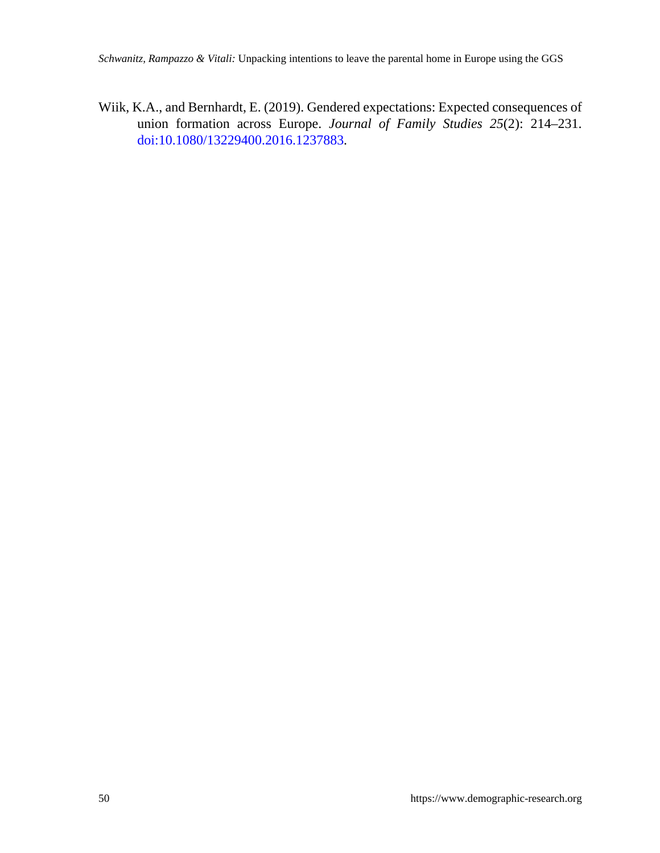Wiik, K.A., and Bernhardt, E. (2019). Gendered expectations: Expected consequences of union formation across Europe. *Journal of Family Studies 25*(2): 214–231. [doi:10.1080/13229400.2016.1237883](https://doi.org/10.1080/13229400.2016.1237883).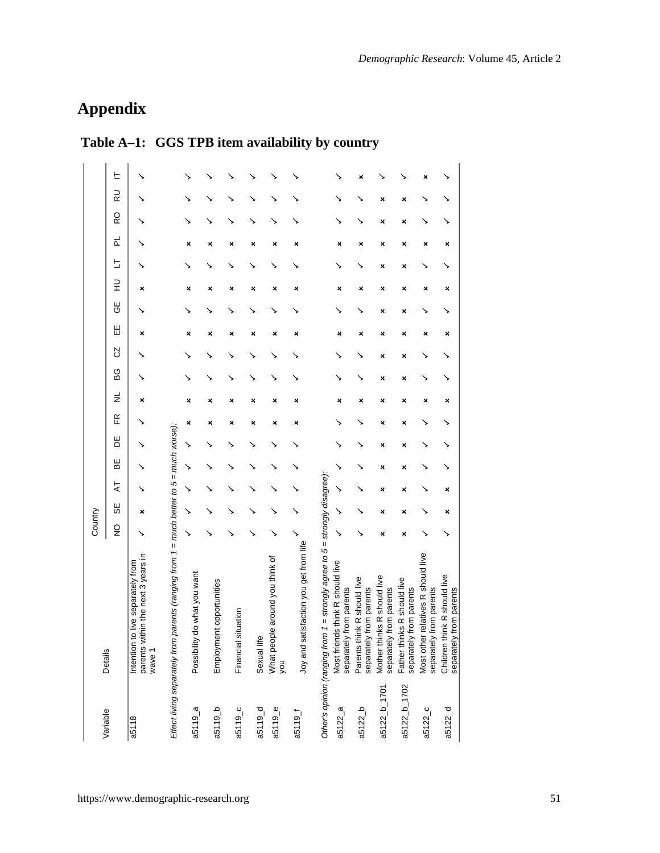i,

# **Appendix**

| Variable              | Details                                                                                 | Country       |    |   |   |   |   |   |     |   |   |        |   |   |   |   |                    |   |
|-----------------------|-----------------------------------------------------------------------------------------|---------------|----|---|---|---|---|---|-----|---|---|--------|---|---|---|---|--------------------|---|
|                       |                                                                                         | $\frac{1}{2}$ | 56 | 4 | ₩ | 뷤 | Æ | ž | ပ္က | S | Ш | U<br>U | 긒 | ь | 군 | Q | $\frac{1}{\alpha}$ | ᄂ |
| a5118                 | parents within the next 3 years in<br>Intention to live separately from<br>wave 1       |               | ×  |   |   |   |   | × |     |   | × |        | × |   |   |   |                    |   |
|                       | Effect living separately from parents (ranging from 1 = much better to 5 = much worse): |               |    |   |   |   |   |   |     |   |   |        |   |   |   |   |                    |   |
| $a5119$ _a            | Possibility do what you want                                                            | ↘             |    |   | ↘ |   | × | × |     |   | × |        | × |   | × |   |                    |   |
| $a-$ b                | Employment opportunities                                                                |               |    |   |   |   | × |   |     |   | × |        | × |   | × |   |                    |   |
| $a5119$ <sub>-C</sub> | <b>Financial situation</b>                                                              |               |    |   |   |   | × |   |     |   | × |        | × |   | × |   |                    |   |
| $a5119-d$             | Sexual life                                                                             |               |    |   |   |   | × | × |     |   | × |        | × |   | × |   |                    |   |
| a5119_e               | What people around you think of<br><b>DOK</b>                                           |               |    |   |   |   | × | × |     |   | × |        | × |   | × |   |                    |   |
| 19119                 | Joy and satisfaction you get from life                                                  |               |    |   |   |   | × |   |     |   | × |        | × |   | × |   |                    |   |
|                       | Other's opinion (ranging from 1 = strongly agree to 5 = strongly disagree):             |               |    |   |   |   |   |   |     |   |   |        |   |   |   |   |                    |   |
| a5122a                | Most friends think R should live<br>separately from parents                             | ↘             |    |   |   |   |   |   |     |   | × |        | × |   | × |   |                    |   |
| $a5122_b$             | Parents think R should live<br>separately from parents                                  |               |    |   |   |   |   |   |     |   | × |        | × |   | × |   |                    | × |
| a5122_b_1701          | Mother thinks R should live<br>separately from parents                                  | ×             | ×  | × | × | × | × | × | ×   | × | × | ×      | × | × | × | × | ×                  |   |
| a5122_b_1702          | Father thinks R should live<br>separately from parents                                  | ×             | ×  | × | × | × | × | × | ×   | × | × | ×      | × | × | × | × | ×                  |   |
| a5122c                | Most other relatives R should live<br>separately from parents                           |               |    |   |   |   |   | × |     |   | × |        | × |   | × |   |                    |   |
| $a5122_d$             | Children think R should live<br>separately from parents                                 |               | ×  | × |   |   |   | × |     |   | × |        | × |   | × |   |                    |   |

## **Table A–1: GGS TPB item availability by country**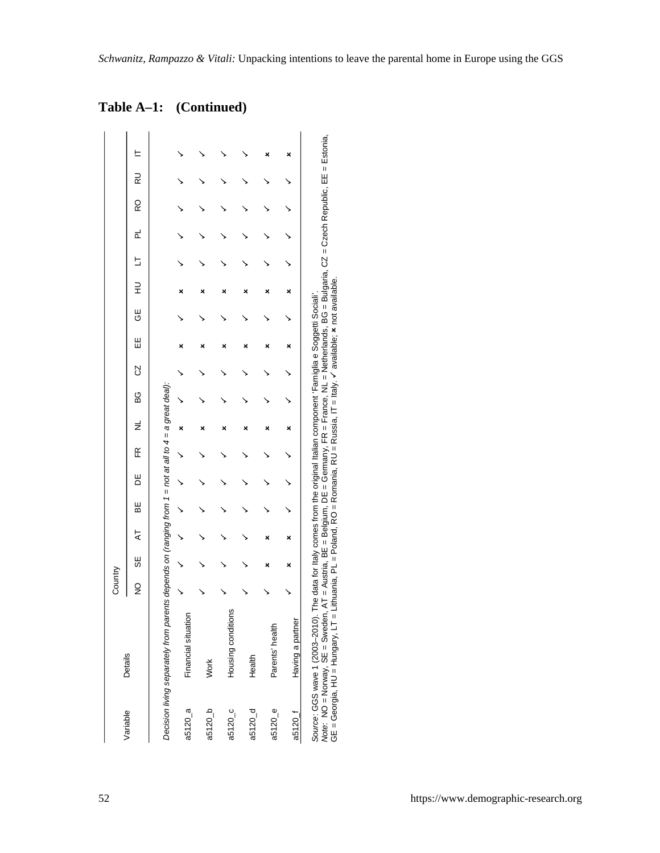|  | Table A-1: (Continued) |
|--|------------------------|
|--|------------------------|

|                      |                                                                                                                                                                                                                                                                                                                                                                                                                            | Country |    |   |   |   |   |   |     |    |        |        |        |   |   |   |    |  |
|----------------------|----------------------------------------------------------------------------------------------------------------------------------------------------------------------------------------------------------------------------------------------------------------------------------------------------------------------------------------------------------------------------------------------------------------------------|---------|----|---|---|---|---|---|-----|----|--------|--------|--------|---|---|---|----|--|
| Variable             | <b>Details</b>                                                                                                                                                                                                                                                                                                                                                                                                             | ş       | 56 | 4 | 빎 | 빔 | Æ | ž | မ္မ | CZ | Ш<br>Ш | ⊎<br>ს | ⊇<br>} | S | 리 | Q | RU |  |
|                      | Decision living separately from parents depends on (ranging from 1 = not at all to 4 = a great deal):                                                                                                                                                                                                                                                                                                                      |         |    |   |   |   |   |   |     |    |        |        |        |   |   |   |    |  |
| a5120 a              | Financial situation                                                                                                                                                                                                                                                                                                                                                                                                        |         |    |   |   |   |   |   |     |    |        |        |        |   |   |   |    |  |
| a5120 b              | Work                                                                                                                                                                                                                                                                                                                                                                                                                       |         |    |   |   |   |   |   |     |    |        |        |        |   |   |   |    |  |
| a5120 c              | Housing conditions                                                                                                                                                                                                                                                                                                                                                                                                         |         |    |   |   |   |   |   |     |    |        |        |        |   |   |   |    |  |
| a5120 d              | Health                                                                                                                                                                                                                                                                                                                                                                                                                     |         |    |   |   |   |   |   |     |    |        |        |        |   |   |   |    |  |
| $a5120$ <sub>e</sub> | Parents' health                                                                                                                                                                                                                                                                                                                                                                                                            |         |    |   |   |   |   |   |     |    |        |        |        |   |   |   |    |  |
| a5120 <sub>1</sub>   | Having a partner                                                                                                                                                                                                                                                                                                                                                                                                           |         |    |   |   |   |   |   |     |    |        |        |        |   |   |   |    |  |
|                      | Note: NO = Norway, SE = Sweden, AT = Austria, BE = Belgium, DE = Germany, FR = France, NL = Netherlands, BG = Bulgaria, CZ = Czech Republic, EE = Estonia,<br>GE = Georgia, HU = Hungary, LT = Lithuania, PL = Poland, RO = Romania, RU = Russia, IT = Italy. ✔ available; ★ not available.<br>Source: GGS wave 1 (2003-2010). The data for Italy comes from the original Italian component 'Famiglia e Soggetti Sociali'. |         |    |   |   |   |   |   |     |    |        |        |        |   |   |   |    |  |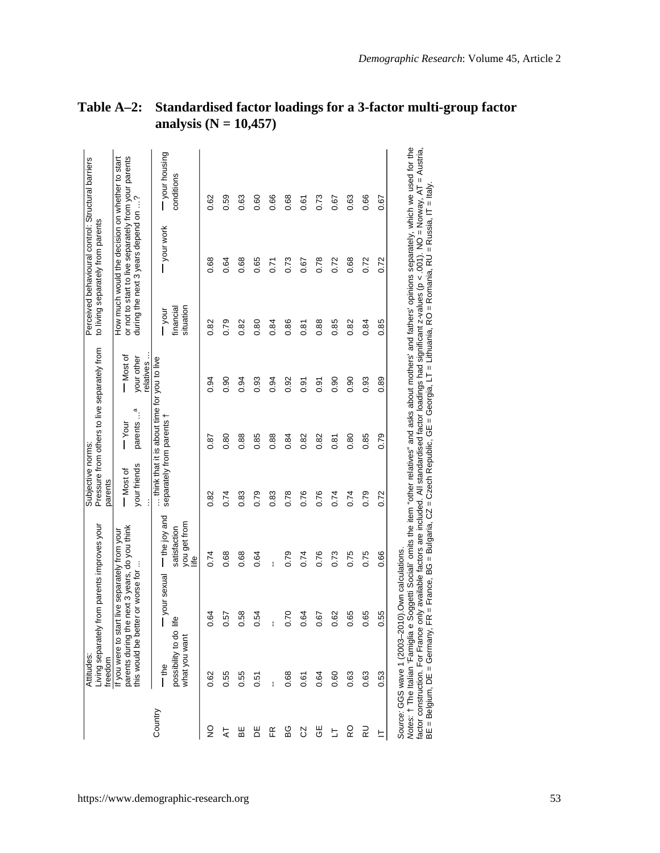|               | Attitudes:<br>freedom                              | Living separately from parents improves your                                                                                         |                                                    | Subjective norms:<br>parents | Pressure from others to live separately from |                                      | to living separately from parents | Perceived behavioural control: Structural barriers                                                                                             |                                                                                                                                                                     |
|---------------|----------------------------------------------------|--------------------------------------------------------------------------------------------------------------------------------------|----------------------------------------------------|------------------------------|----------------------------------------------|--------------------------------------|-----------------------------------|------------------------------------------------------------------------------------------------------------------------------------------------|---------------------------------------------------------------------------------------------------------------------------------------------------------------------|
|               |                                                    | parents during the next 3 years, do you think<br>If you were to start live separately from your<br>this would be better or worse for |                                                    | your friends<br>- Most of    | æ<br>parents<br>$-\gamma_{\text{our}}$       | - Most of<br>your other<br>relatives |                                   | or not to start to live separately from your parents<br>How much would the decision on whether to start<br>during the next 3 years depend on ? |                                                                                                                                                                     |
| Country       | possibility to do life<br>what you want<br>–<br>Te | your sexual                                                                                                                          | me joy and<br>you get from<br>satisfaction<br>life | separately from parents t    | think that it is about time for you to live  |                                      | situation<br>financial<br>Tool    | -your work                                                                                                                                     | your housing<br>conditions                                                                                                                                          |
| $\frac{1}{2}$ | 0.62                                               | 0.64                                                                                                                                 | 0.74                                               | 0.82                         | 0.87                                         | 0.94                                 | 0.82                              | 0.68                                                                                                                                           | 0.62                                                                                                                                                                |
| ᅕ             | 0.55                                               | 0.57                                                                                                                                 | 0.68                                               | 0.74                         | 0.80                                         | 0.90                                 | 0.79                              | 0.64                                                                                                                                           | 0.59                                                                                                                                                                |
| B₩            | 0.55                                               | 0.58                                                                                                                                 | 0.68                                               | 0.83                         | 0.88                                         | 0.94                                 | 0.82                              | 0.68                                                                                                                                           | 0.63                                                                                                                                                                |
| 片             | 0.51                                               | 0.54                                                                                                                                 | 0.64                                               | 0.79                         | 0.85                                         | 0.93                                 | 0.80                              | 0.65                                                                                                                                           | 0.60                                                                                                                                                                |
| Æ             |                                                    | į                                                                                                                                    |                                                    | 0.83                         | 0.88                                         | 0.94                                 | 0.84                              | 0.71                                                                                                                                           | 0.66                                                                                                                                                                |
| 6G            | 0.68                                               | 0.70                                                                                                                                 | 0.79                                               | 0.78                         | 0.84                                         | 0.92                                 | 0.86                              | 0.73                                                                                                                                           | 0.68                                                                                                                                                                |
| S             | 0.61                                               | 0.64                                                                                                                                 | 0.74                                               | 0.76                         | 0.82                                         | 0.91                                 | 0.81                              | 0.67                                                                                                                                           | 0.61                                                                                                                                                                |
| ĞΕ            | 0.64                                               | 0.67                                                                                                                                 | 0.76                                               | 0.76                         | 0.82                                         | 0.91                                 | 0.88                              | 0.78                                                                                                                                           | 0.73                                                                                                                                                                |
| Ь             | 0.60                                               | 0.62                                                                                                                                 | 0.73                                               | 0.74                         | 0.81                                         | 0.90                                 | 0.85                              | 0.72                                                                                                                                           | 0.67                                                                                                                                                                |
| RO            | 0.63                                               | 0.65                                                                                                                                 | 0.75                                               | 0.74                         | 0.80                                         | 0.90                                 | 0.82                              | 0.68                                                                                                                                           | 0.63                                                                                                                                                                |
| RU            | 0.63                                               | 0.65                                                                                                                                 | 0.75                                               | 0.79                         | 0.85                                         | 0.93                                 | 0.84                              | 0.72                                                                                                                                           | 0.66                                                                                                                                                                |
| ᄂ             | 0.53                                               | 0.55                                                                                                                                 | 0.66                                               | 0.72                         | 0.79                                         | 0.89                                 | 0.85                              | 0.72                                                                                                                                           | 0.67                                                                                                                                                                |
|               |                                                    | Source: GGS wave 1 (2003-2010).Own calculations.                                                                                     |                                                    |                              |                                              |                                      |                                   |                                                                                                                                                | Notes: † The Italian 'Famiglia e Soggetti Sociali' omits the item "other relatives" and asks about mothers' and fathers' opinions separately, which we used for the |

## **Table A–2: Standardised factor loadings for a 3-factor multi-group factor analysis (N = 10,457)**

factor construction. For France only available factors are included. All standardised factor loadings had significant z-values (p < .001). NO⊿ Norway, AT = Austria,<br>BE = Belgium, DE = Germany, FR = France, BG = Bulgaria, *Notes:* † The Italian 'Famiglia e Soggetti Sociali' omits the item "other relatives" and asks about mothers' and fathers' opinions separately, which we used for the factor construction. For France only available factors are included. All standardised factor loadings had significant z-values (p < .001). NO = Norway, AT = Austria, BE = Belgium, DE = Germany, FR = France, BG = Bulgaria, CZ = Czech Republic, GE = Georgia, LT = Lithuania, RO = Romania, RU = Russia, IT = Italy.